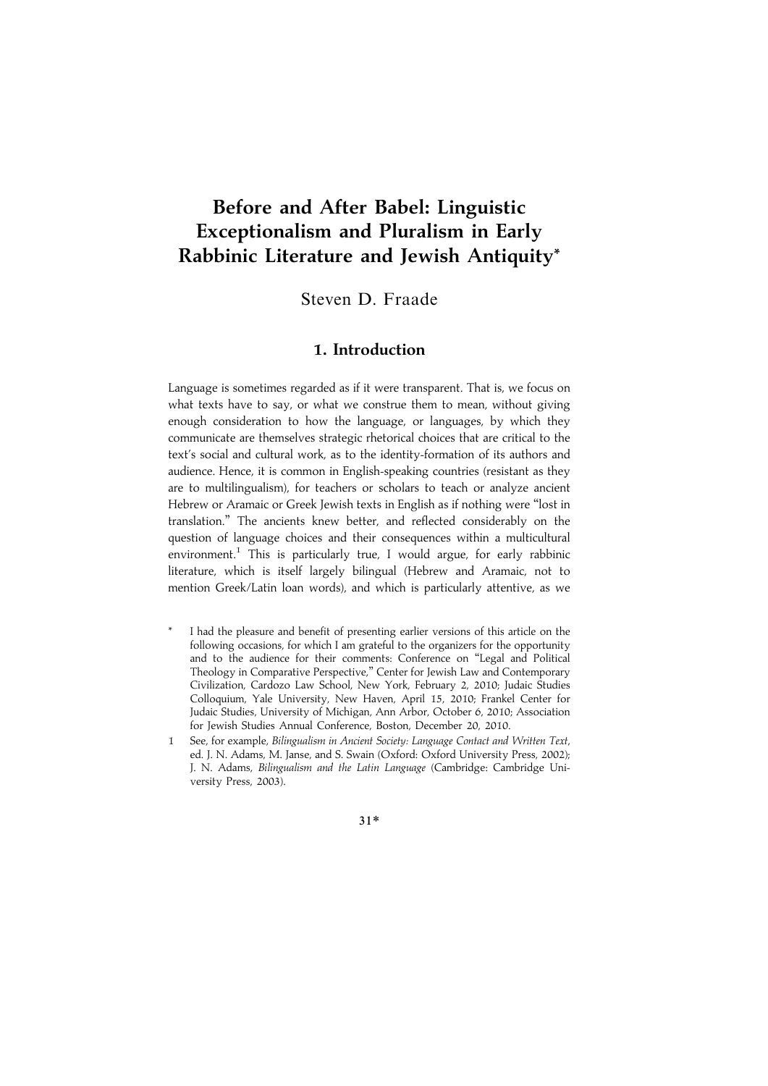# Before and After Babel: Linguistic Exceptionalism and Pluralism in Early Rabbinic Literature and Jewish Antiquity\*

Steven D. Fraade

### 1. Introduction

Language is sometimes regarded as if it were transparent. That is, we focus on what texts have to say, or what we construe them to mean, without giving enough consideration to how the language, or languages, by which they communicate are themselves strategic rhetorical choices that are critical to the text's social and cultural work, as to the identity-formation of its authors and audience. Hence, it is common in English-speaking countries (resistant as they are to multilingualism), for teachers or scholars to teach or analyze ancient Hebrew or Aramaic or Greek Jewish texts in English as if nothing were ''lost in translation.'' The ancients knew better, and reflected considerably on the question of language choices and their consequences within a multicultural environment.<sup>1</sup> This is particularly true, I would argue, for early rabbinic literature, which is itself largely bilingual (Hebrew and Aramaic, not to mention Greek/Latin loan words), and which is particularly attentive, as we

- I had the pleasure and benefit of presenting earlier versions of this article on the following occasions, for which I am grateful to the organizers for the opportunity and to the audience for their comments: Conference on ''Legal and Political Theology in Comparative Perspective,'' Center for Jewish Law and Contemporary Civilization, Cardozo Law School, New York, February 2, 2010; Judaic Studies Colloquium, Yale University, New Haven, April 15, 2010; Frankel Center for Judaic Studies, University of Michigan, Ann Arbor, October 6, 2010; Association for Jewish Studies Annual Conference, Boston, December 20, 2010.
- 1 See, for example, Bilingualism in Ancient Society: Language Contact and Written Text, ed. J. N. Adams, M. Janse, and S. Swain (Oxford: Oxford University Press, 2002); J. N. Adams, Bilingualism and the Latin Language (Cambridge: Cambridge University Press, 2003).

31\*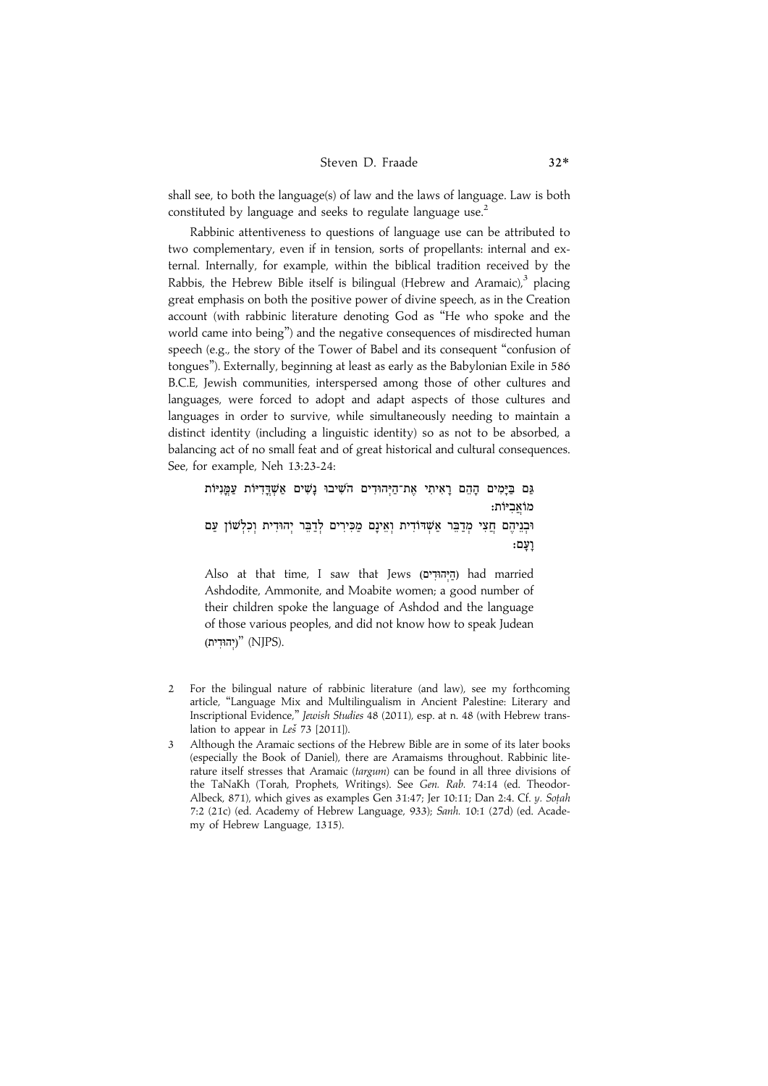#### Steven D. Fraade 32\*

shall see, to both the language(s) of law and the laws of language. Law is both constituted by language and seeks to regulate language use.<sup>2</sup>

Rabbinic attentiveness to questions of language use can be attributed to two complementary, even if in tension, sorts of propellants: internal and external. Internally, for example, within the biblical tradition received by the Rabbis, the Hebrew Bible itself is bilingual (Hebrew and Aramaic), $3$  placing great emphasis on both the positive power of divine speech, as in the Creation account (with rabbinic literature denoting God as ''He who spoke and the world came into being'') and the negative consequences of misdirected human speech (e.g., the story of the Tower of Babel and its consequent ''confusion of tongues''). Externally, beginning at least as early as the Babylonian Exile in 586 B.C.E, Jewish communities, interspersed among those of other cultures and languages, were forced to adopt and adapt aspects of those cultures and languages in order to survive, while simultaneously needing to maintain a distinct identity (including a linguistic identity) so as not to be absorbed, a balancing act of no small feat and of great historical and cultural consequences. See, for example, Neh 13:23-24:

.<br>גם בימים ההם ראיתי את־היהוּדים השׁיבוּ נשים אשדדיוֹת עמניוֹת מוֹאביּוֹת: .<br>ובניהם חצי מדבר אשדודית ואינם מכירים לדבר יהודית וכלשוֹן עם .<br>ועם:

Also at that time, I saw that Jews (הַיְהוּדִים) had married Ashdodite, Ammonite, and Moabite women; a good number of their children spoke the language of Ashdod and the language of those various peoples, and did not know how to speak Judean (יהוּדִית)<br>
"(יהוּדִית)

- 2 For the bilingual nature of rabbinic literature (and law), see my forthcoming article, ''Language Mix and Multilingualism in Ancient Palestine: Literary and Inscriptional Evidence,'' Jewish Studies 48 (2011), esp. at n. 48 (with Hebrew translation to appear in  $Le\check{S}$  73 [2011]).
- 3 Although the Aramaic sections of the Hebrew Bible are in some of its later books (especially the Book of Daniel), there are Aramaisms throughout. Rabbinic literature itself stresses that Aramaic (targum) can be found in all three divisions of the TaNaKh (Torah, Prophets, Writings). See Gen. Rab. 74:14 (ed. Theodor-Albeck, 871), which gives as examples Gen 31:47; Jer 10:11; Dan 2:4. Cf. y. Sotah 7:2 (21c) (ed. Academy of Hebrew Language, 933); Sanh. 10:1 (27d) (ed. Academy of Hebrew Language, 1315).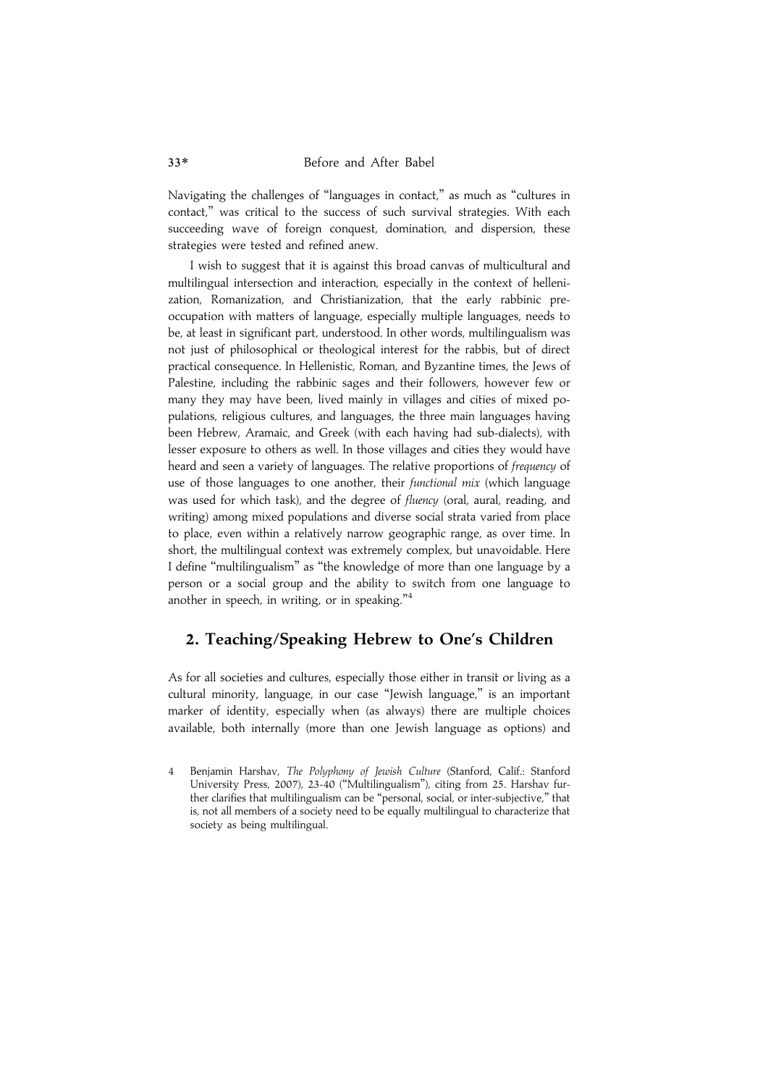Navigating the challenges of ''languages in contact,'' as much as ''cultures in contact,'' was critical to the success of such survival strategies. With each succeeding wave of foreign conquest, domination, and dispersion, these strategies were tested and refined anew.

I wish to suggest that it is against this broad canvas of multicultural and multilingual intersection and interaction, especially in the context of hellenization, Romanization, and Christianization, that the early rabbinic preoccupation with matters of language, especially multiple languages, needs to be, at least in significant part, understood. In other words, multilingualism was not just of philosophical or theological interest for the rabbis, but of direct practical consequence. In Hellenistic, Roman, and Byzantine times, the Jews of Palestine, including the rabbinic sages and their followers, however few or many they may have been, lived mainly in villages and cities of mixed populations, religious cultures, and languages, the three main languages having been Hebrew, Aramaic, and Greek (with each having had sub-dialects), with lesser exposure to others as well. In those villages and cities they would have heard and seen a variety of languages. The relative proportions of frequency of use of those languages to one another, their functional mix (which language was used for which task), and the degree of fluency (oral, aural, reading, and writing) among mixed populations and diverse social strata varied from place to place, even within a relatively narrow geographic range, as over time. In short, the multilingual context was extremely complex, but unavoidable. Here I define ''multilingualism'' as ''the knowledge of more than one language by a person or a social group and the ability to switch from one language to another in speech, in writing, or in speaking."<sup>4</sup>

### 2. Teaching/Speaking Hebrew to One's Children

As for all societies and cultures, especially those either in transit or living as a cultural minority, language, in our case ''Jewish language,'' is an important marker of identity, especially when (as always) there are multiple choices available, both internally (more than one Jewish language as options) and

<sup>4</sup> Benjamin Harshay, The Polyphony of Jewish Culture (Stanford, Calif.: Stanford University Press, 2007), 23-40 (''Multilingualism''), citing from 25. Harshav further clarifies that multilingualism can be ''personal, social, or inter-subjective,'' that is, not all members of a society need to be equally multilingual to characterize that society as being multilingual.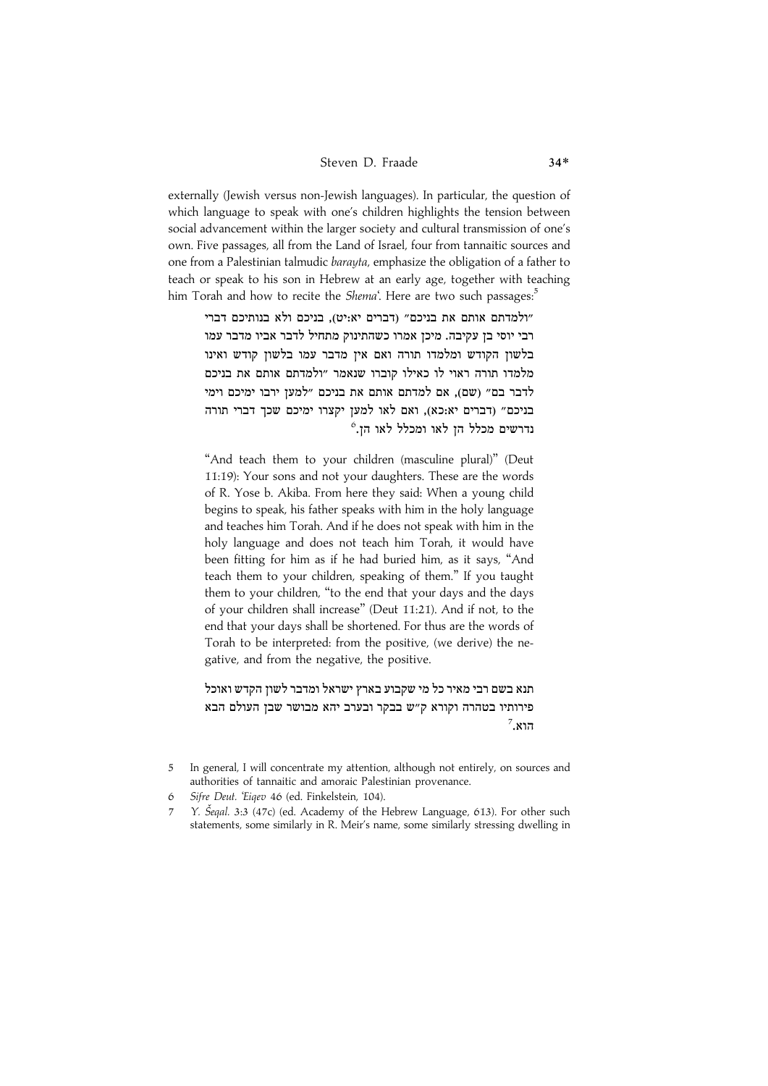externally (Jewish versus non-Jewish languages). In particular, the question of which language to speak with one's children highlights the tension between social advancement within the larger society and cultural transmission of one's own. Five passages, all from the Land of Israel, four from tannaitic sources and one from a Palestinian talmudic barayta, emphasize the obligation of a father to teach or speak to his son in Hebrew at an early age, together with teaching him Torah and how to recite the Shema'. Here are two such passages:<sup>5</sup>

ולמדתם אותם את בניכם״ (דברים יא:יט). בניכם ולא בנותיכם דברי" רבי יוסי בז עקיבה. מיכז אמרו כשהתינוק מתחיל לדבר אביו מדבר עמו .<br>בלשוז הקודש ומלמדו תורה ואם איז מדבר עמו בלשוז קודש ואינו .<br>מלמדו תורה ראוי לו כאילו קוברו שנאמר ״ולמדתם אותם את בניכם לדבר בם״ (שם). אם למדתם אותם את בניכם ״למעז ירבו ימיכם וימי בניכם״ (דברים יא:כא). ואם לאו למעז יקצרו ימיכם שכד דברי תורה  $^{\rm 6}$ נדרשים מכלל הז לאו ומכלל לאו הז.

"And teach them to your children (masculine plural)" (Deut 11:19): Your sons and not your daughters. These are the words of R. Yose b. Akiba. From here they said: When a young child begins to speak, his father speaks with him in the holy language and teaches him Torah. And if he does not speak with him in the holy language and does not teach him Torah, it would have been fitting for him as if he had buried him, as it says, ''And teach them to your children, speaking of them.'' If you taught them to your children, ''to the end that your days and the days of your children shall increase'' (Deut 11:21). And if not, to the end that your days shall be shortened. For thus are the words of Torah to be interpreted: from the positive, (we derive) the negative, and from the negative, the positive.

תנא בשם רבי מאיר כל מי שקבוע בארץ ישראל ומדבר לשוז הקדש ואוכל פירותיו בטהרה וקורא ק"ש בבקר ובערב יהא מבושר שבז העולם הבא  $^7$ .<br>הוא

<sup>5</sup> In general, I will concentrate my attention, although not entirely, on sources and authorities of tannaitic and amoraic Palestinian provenance.

<sup>6</sup> Sifre Deut. 'Eiqev 46 (ed. Finkelstein, 104).

<sup>7</sup> Y. Šegal. 3:3 (47c) (ed. Academy of the Hebrew Language, 613). For other such statements, some similarly in R. Meir's name, some similarly stressing dwelling in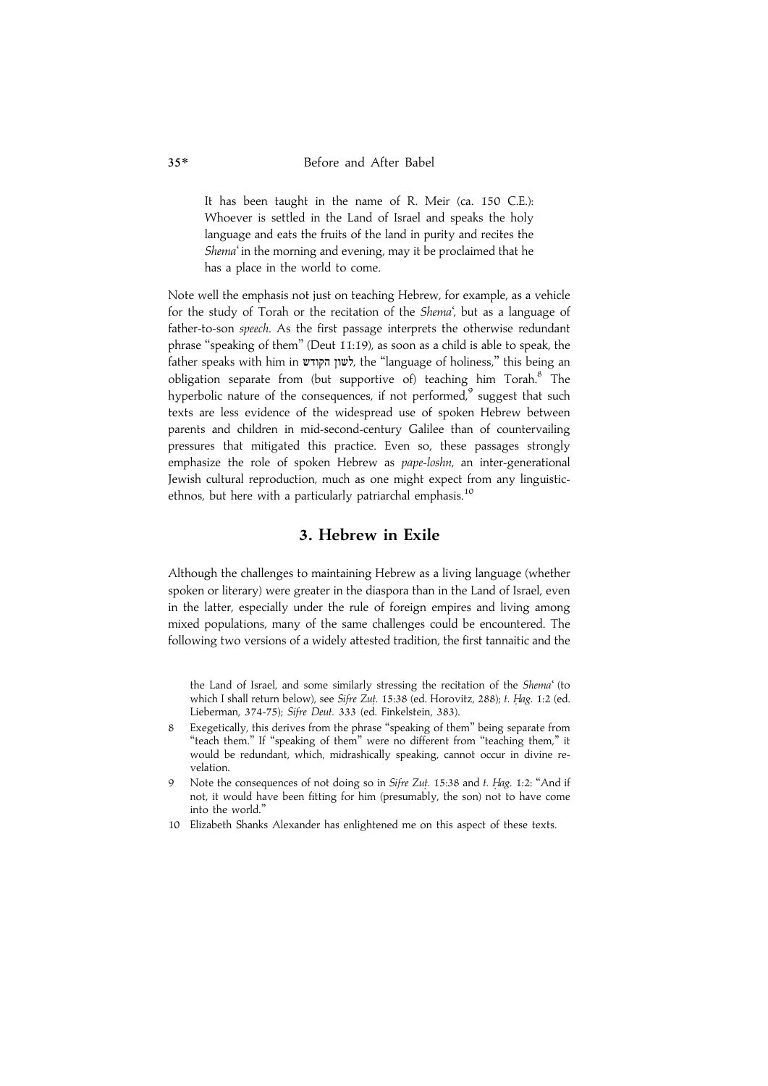It has been taught in the name of R. Meir (ca. 150 C.E.): Whoever is settled in the Land of Israel and speaks the holy language and eats the fruits of the land in purity and recites the Shema' in the morning and evening, may it be proclaimed that he has a place in the world to come.

Note well the emphasis not just on teaching Hebrew, for example, as a vehicle for the study of Torah or the recitation of the Shema', but as a language of father-to-son speech. As the first passage interprets the otherwise redundant phrase ''speaking of them'' (Deut 11:19), as soon as a child is able to speak, the father speaks with him in לשון הקודש, the "language of holiness," this being an obligation separate from (but supportive of) teaching him Torah.<sup>8</sup> The hyperbolic nature of the consequences, if not performed, $9$  suggest that such texts are less evidence of the widespread use of spoken Hebrew between parents and children in mid-second-century Galilee than of countervailing pressures that mitigated this practice. Even so, these passages strongly emphasize the role of spoken Hebrew as pape-loshn, an inter-generational Jewish cultural reproduction, much as one might expect from any linguisticethnos, but here with a particularly patriarchal emphasis.<sup>10</sup>

#### 3. Hebrew in Exile

Although the challenges to maintaining Hebrew as a living language (whether spoken or literary) were greater in the diaspora than in the Land of Israel, even in the latter, especially under the rule of foreign empires and living among mixed populations, many of the same challenges could be encountered. The following two versions of a widely attested tradition, the first tannaitic and the

the Land of Israel, and some similarly stressing the recitation of the Shema' (to which I shall return below), see Sifre Zut. 15:38 (ed. Horovitz, 288); t. Hag. 1:2 (ed. Lieberman, 374-75); Sifre Deut. 333 (ed. Finkelstein, 383).

- 8 Exegetically, this derives from the phrase ''speaking of them'' being separate from "teach them." If "speaking of them" were no different from "teaching them," it would be redundant, which, midrashically speaking, cannot occur in divine revelation.
- 9 Note the consequences of not doing so in Sifre Zut. 15:38 and t. Hag. 1:2: "And if not, it would have been fitting for him (presumably, the son) not to have come into the world.''
- 10 Elizabeth Shanks Alexander has enlightened me on this aspect of these texts.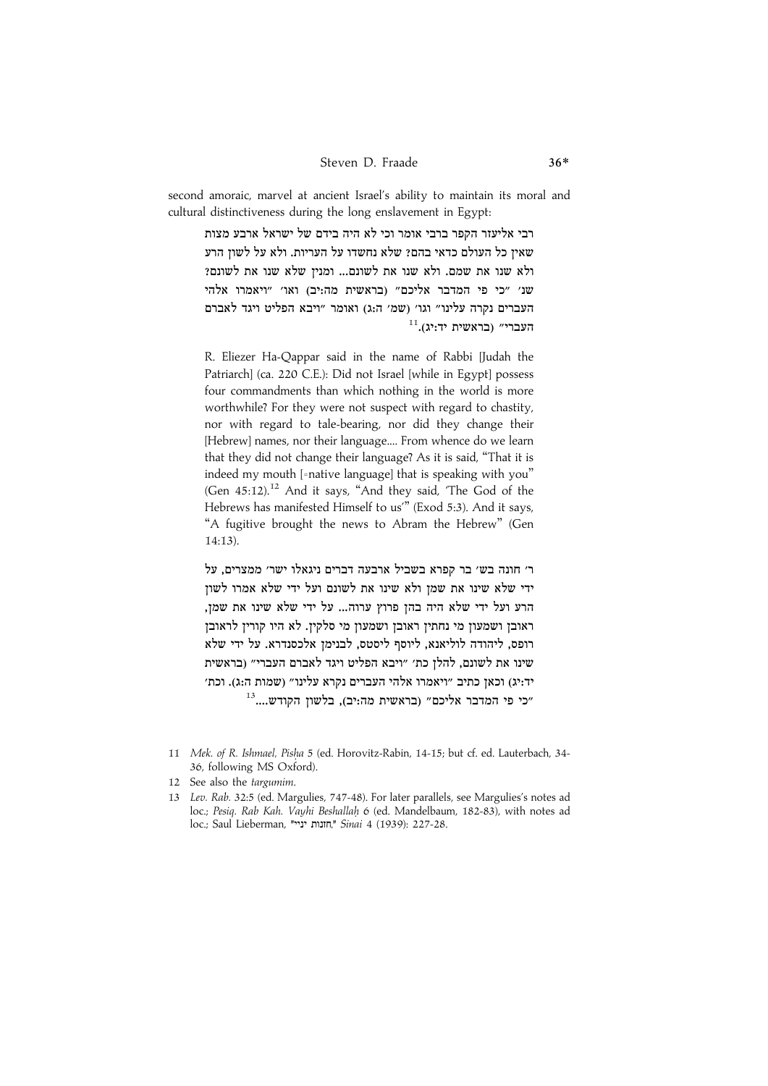#### Steven D. Fraade 36\*

second amoraic, marvel at ancient Israel's ability to maintain its moral and cultural distinctiveness during the long enslavement in Egypt:

רבי אליעזר הקפר ברבי אומר וכי לא היה בידם של ישראל ארבע מצות שאיז כל העולם כדאי בהם? שלא נחשדו על העריות. ולא על לשוז הרע ולא שנו את שמם. ולא שנו את לשונם... ומניז שלא שנו את לשונם? שנ׳ ״כי פי המדבר אליכם״ ובראשית מה:יב) ואו׳ ״ויאמרו אלהי העברים נקרה עלינו״ וגו׳ (שמ׳ ה:ג) ואומר ״ויבא הפליט ויגד לאברם  $^{11}$ לאשית יד:יג). $^{11}$ 

R. Eliezer Ha-Qappar said in the name of Rabbi [Judah the Patriarch] (ca. 220 C.E.): Did not Israel [while in Egypt] possess four commandments than which nothing in the world is more worthwhile? For they were not suspect with regard to chastity, nor with regard to tale-bearing, nor did they change their [Hebrew] names, nor their language.... From whence do we learn that they did not change their language? As it is said, ''That it is indeed my mouth [=native language] that is speaking with you'' (Gen  $45:12$ ).<sup>12</sup> And it says, "And they said, 'The God of the Hebrews has manifested Himself to us''' (Exod 5:3). And it says, "A fugitive brought the news to Abram the Hebrew" (Gen 14:13).

ר׳ חונה בש׳ בר קפרא בשביל ארבעה דברים ניגאלו ישר׳ ממצרים. על ידי שלא שינו את שמז ולא שינו את לשונם ועל ידי שלא אמרו לשוז הרע ועל ידי שלא היה בהן פרוץ ערוה... על ידי שלא שינו את שמן, .<br>ראובז ושמעוז מי נחתיז ראובז ושמעוז מי סלקיז. לא היו קוריז לראובז רופס, ליהודה לוליאנא, ליוסף ליסטס, לבנימן אלכסנדרא. על ידי שלא שינו את לשונם. להלז כת׳ ״ויבא הפליט ויגד לאברם העברי״ (בראשית יד:יג) וכאז כתיב ״ויאמרו אלהי העברים נקרא עלינו״ (שמות ה:ג). וכת׳ "כי פי המדבר אליכם" (בראשית מה:יב). בלשוז הקודש....<sup>13</sup>

<sup>11</sup> Mek. of R. Ishmael, Pisha 5 (ed. Horovitz-Rabin, 14-15; but cf. ed. Lauterbach, 34-36, following MS Oxford).

<sup>12</sup> See also the targumim.

<sup>13</sup> Lev. Rab. 32:5 (ed. Margulies, 747-48). For later parallels, see Margulies's notes ad loc.; Pesiq. Rab Kah. Vayhi Beshallah. 6 (ed. Mandelbaum, 182-83), with notes ad loc.; Saul Lieberman, "חזנות יניי", Sinai 4 (1939): 227-28.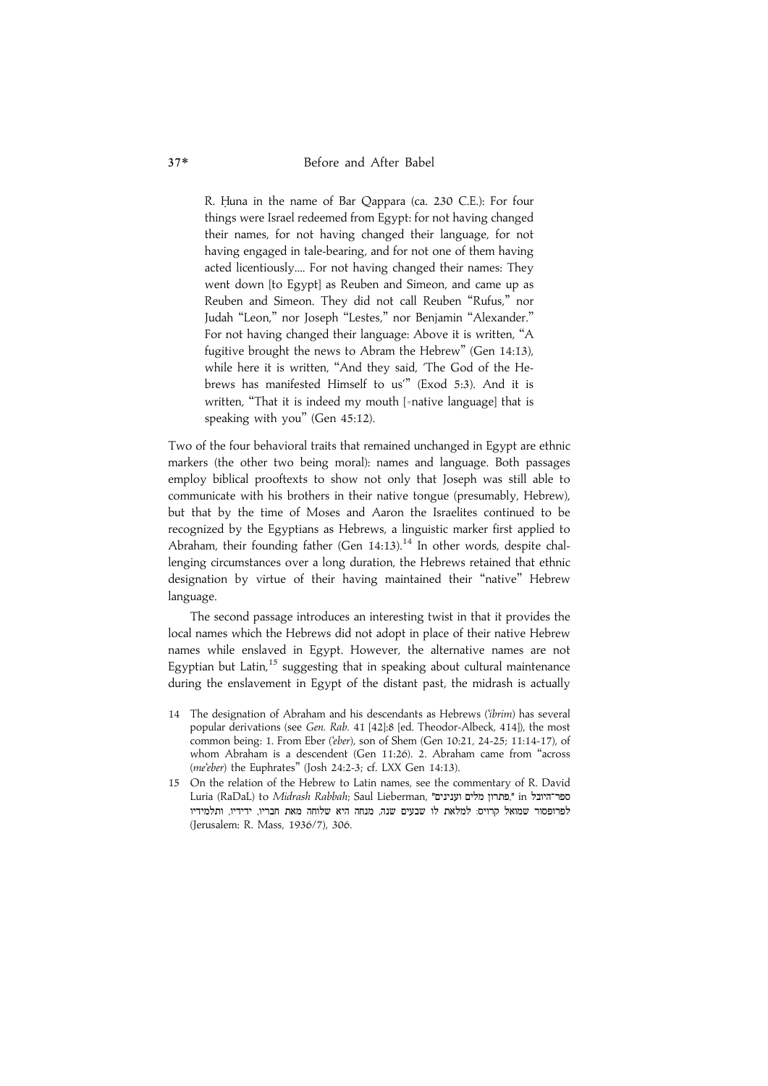R. Huna in the name of Bar Qappara (ca. 230 C.E.): For four things were Israel redeemed from Egypt: for not having changed their names, for not having changed their language, for not having engaged in tale-bearing, and for not one of them having acted licentiously.... For not having changed their names: They went down [to Egypt] as Reuben and Simeon, and came up as Reuben and Simeon. They did not call Reuben ''Rufus,'' nor Judah ''Leon,'' nor Joseph ''Lestes,'' nor Benjamin ''Alexander.'' For not having changed their language: Above it is written, ''A fugitive brought the news to Abram the Hebrew'' (Gen 14:13), while here it is written, ''And they said, 'The God of the Hebrews has manifested Himself to us''' (Exod 5:3). And it is written, "That it is indeed my mouth [=native language] that is speaking with you'' (Gen 45:12).

Two of the four behavioral traits that remained unchanged in Egypt are ethnic markers (the other two being moral): names and language. Both passages employ biblical prooftexts to show not only that Joseph was still able to communicate with his brothers in their native tongue (presumably, Hebrew), but that by the time of Moses and Aaron the Israelites continued to be recognized by the Egyptians as Hebrews, a linguistic marker first applied to Abraham, their founding father (Gen  $14:13$ ).<sup>14</sup> In other words, despite challenging circumstances over a long duration, the Hebrews retained that ethnic designation by virtue of their having maintained their ''native'' Hebrew language.

The second passage introduces an interesting twist in that it provides the local names which the Hebrews did not adopt in place of their native Hebrew names while enslaved in Egypt. However, the alternative names are not Egyptian but Latin, $^{15}$  suggesting that in speaking about cultural maintenance during the enslavement in Egypt of the distant past, the midrash is actually

- 14 The designation of Abraham and his descendants as Hebrews ('ibrim) has several popular derivations (see Gen. Rab. 41 [42]:8 [ed. Theodor-Albeck, 414]), the most common being: 1. From Eber ('eber), son of Shem (Gen 10:21, 24-25; 11:14-17), of whom Abraham is a descendent (Gen 11:26). 2. Abraham came from ''across (me'eber) the Euphrates'' (Josh 24:2-3; cf. LXX Gen 14:13).
- 15 On the relation of the Hebrew to Latin names, see the commentary of R. David Luria (RaDaL) to Midrash Rabbah; Saul Lieberman, "פתרון מלים וענינים", " in "פתרון לפרופסור שמואל קרויס: למלאת לו שבעים שנה, מנחה היא שלוחה מאת חבריו, ידידיו, ותלמידיו (Jerusalem: R. Mass, 1936/7), 306.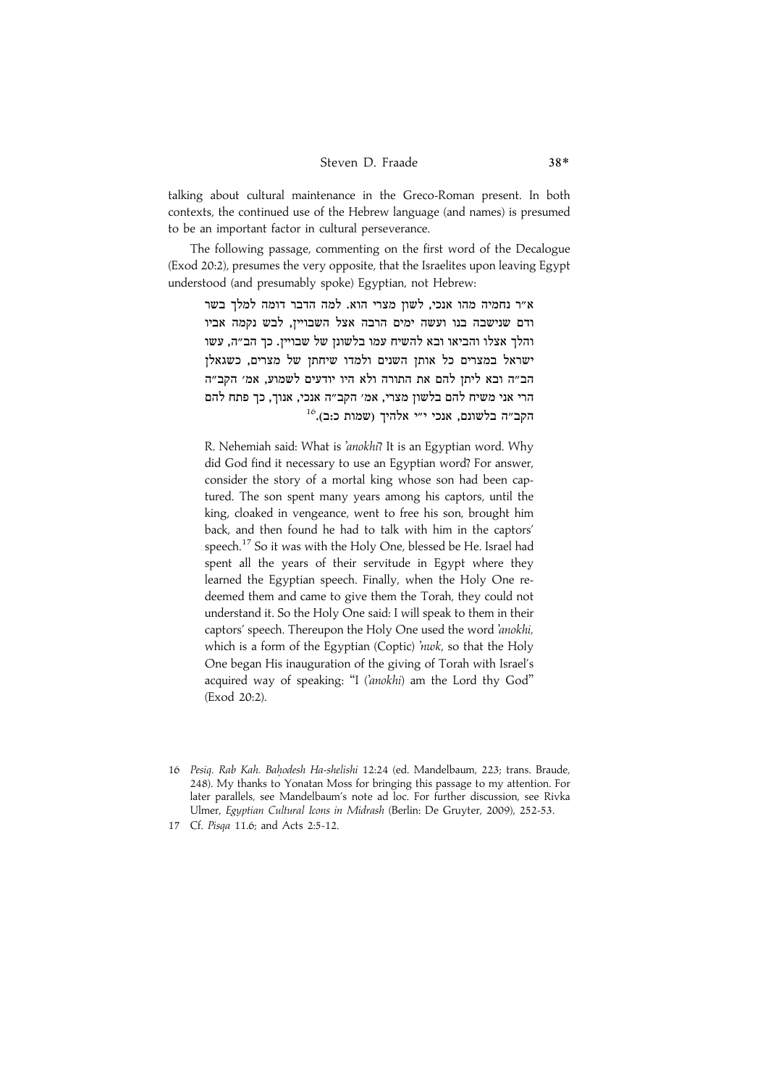talking about cultural maintenance in the Greco-Roman present. In both contexts, the continued use of the Hebrew language (and names) is presumed to be an important factor in cultural perseverance.

The following passage, commenting on the first word of the Decalogue (Exod 20:2), presumes the very opposite, that the Israelites upon leaving Egypt understood (and presumably spoke) Egyptian, not Hebrew:

.<br>א״ר נחמיה מהו אנכי. לשוז מצרי הוא. למה הדבר דומה למלד בשר ודם שנישבה בנו ועשה ימים הרבה אצל השבוייז. לבש נקמה אביו והלד אצלו והביאו ובא להשיח עמו בלשונז של שבוייז. כד הב״ה. עשו ישראל במצרים כל אותז השנים ולמדו שיחתז של מצרים. כשגאלז הב״ה ובא ליתז להם את התורה ולא היו יודעים לשמוע. אמ׳ הקב״ה הרי אני משיח להם בלשוז מצרי. אמ׳ הקב״ה אנכי. אנוד. כד פתח להם  $^{16}$ הקב״ה בלשונם. אנכי י״י אלהיד (שמות כ:ב).

R. Nehemiah said: What is 'anokhi? It is an Egyptian word. Why did God find it necessary to use an Egyptian word? For answer, consider the story of a mortal king whose son had been captured. The son spent many years among his captors, until the king, cloaked in vengeance, went to free his son, brought him back, and then found he had to talk with him in the captors' speech.<sup>17</sup> So it was with the Holy One, blessed be He. Israel had spent all the years of their servitude in Egypt where they learned the Egyptian speech. Finally, when the Holy One redeemed them and came to give them the Torah, they could not understand it. So the Holy One said: I will speak to them in their captors' speech. Thereupon the Holy One used the word 'anokhi, which is a form of the Egyptian (Coptic) 'nwk, so that the Holy One began His inauguration of the giving of Torah with Israel's acquired way of speaking: "I ('anokhi) am the Lord thy God" (Exod 20:2).

<sup>16</sup> Pesiq. Rab Kah. Bahodesh Ha-shelishi 12:24 (ed. Mandelbaum, 223; trans. Braude, 248). My thanks to Yonatan Moss for bringing this passage to my attention. For later parallels, see Mandelbaum's note ad loc. For further discussion, see Rivka Ulmer, Egyptian Cultural Icons in Midrash (Berlin: De Gruyter, 2009), 252-53.

<sup>17</sup> Cf. Pisqa 11.6; and Acts 2:5-12.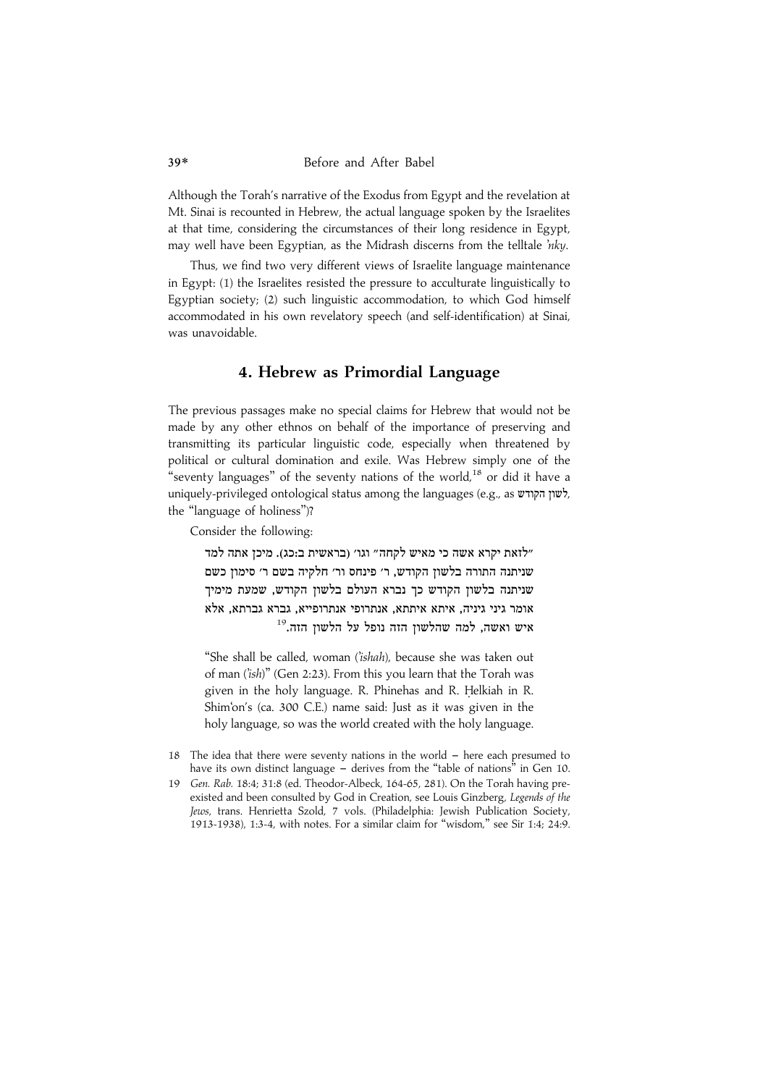Although the Torah's narrative of the Exodus from Egypt and the revelation at Mt. Sinai is recounted in Hebrew, the actual language spoken by the Israelites at that time, considering the circumstances of their long residence in Egypt, may well have been Egyptian, as the Midrash discerns from the telltale 'nky.

Thus, we find two very different views of Israelite language maintenance in Egypt: (1) the Israelites resisted the pressure to acculturate linguistically to Egyptian society; (2) such linguistic accommodation, to which God himself accommodated in his own revelatory speech (and self-identification) at Sinai, was unavoidable.

### 4. Hebrew as Primordial Language

The previous passages make no special claims for Hebrew that would not be made by any other ethnos on behalf of the importance of preserving and transmitting its particular linguistic code, especially when threatened by political or cultural domination and exile. Was Hebrew simply one of the "seventy languages" of the seventy nations of the world,<sup>18</sup> or did it have a uniquely-privileged ontological status among the languages (e.g., as *wrighty*, the ''language of holiness'')?

Consider the following:

לזאת יקרא אשה כי מאיש לקחה״ וגו׳ (בראשית ב:כג). מיכז אתה למד" שניתנה התורה בלשוז הקודש. ר׳ פינחס ור׳ חלקיה בשם ר׳ סימוז כשם שניתנה בלשוז הקודש כד נברא העולם בלשוז הקודש. שמעת מימיד אומר גיני גיניה, איתא איתתא, אנתרופי אנתרופייא, גברתא, אלא  $^{19}$ איש ואשה, למה שהלשון הזה נופל על הלשון הזה.<sup>19</sup>

''She shall be called, woman ('ishah), because she was taken out of man ('ish)" (Gen 2:23). From this you learn that the Torah was given in the holy language. R. Phinehas and R. Helkiah in R. Shim'on's (ca. 300 C.E.) name said: Just as it was given in the holy language, so was the world created with the holy language.

- 18 The idea that there were seventy nations in the world  $-$  here each presumed to have its own distinct language - derives from the "table of nations" in Gen 10.
- 19 Gen. Rab. 18:4; 31:8 (ed. Theodor-Albeck, 164-65, 281). On the Torah having preexisted and been consulted by God in Creation, see Louis Ginzberg, Legends of the Jews, trans. Henrietta Szold, 7 vols. (Philadelphia: Jewish Publication Society, 1913-1938), 1:3-4, with notes. For a similar claim for ''wisdom,'' see Sir 1:4; 24:9.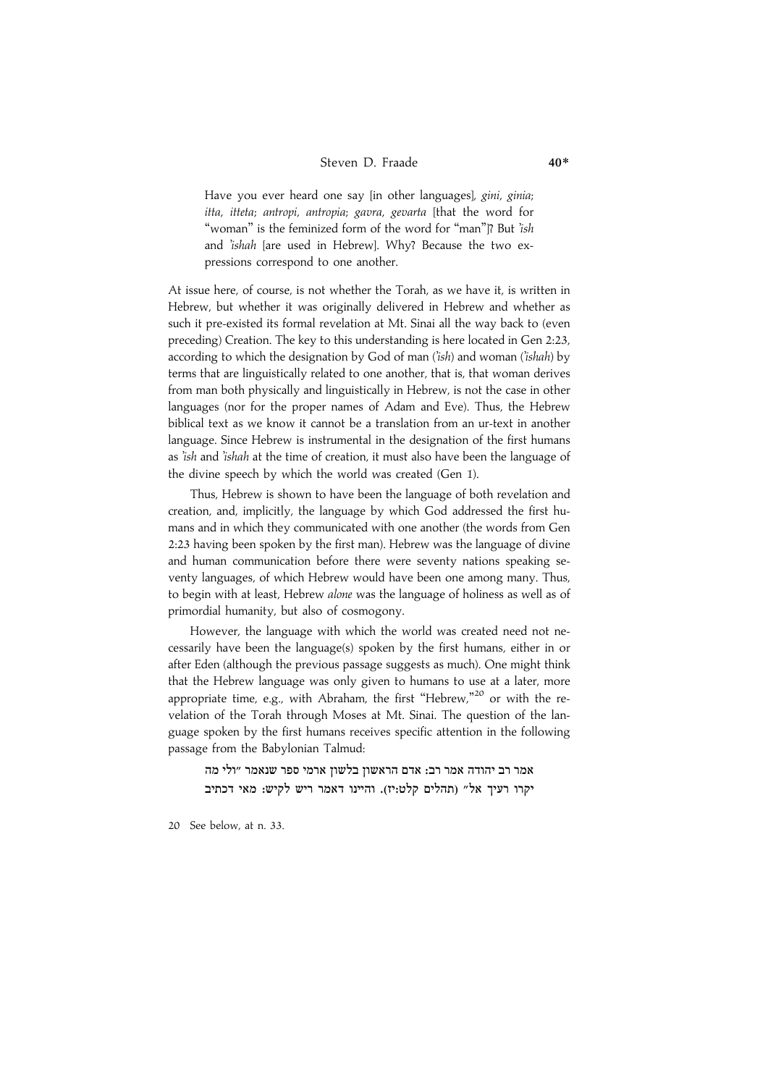Have you ever heard one say lin other languages), gini, ginia; itta, itteta; antropi, antropia; gavra, gevarta [that the word for "woman" is the feminized form of the word for "man"]? But 'ish and 'ishah [are used in Hebrew]. Why? Because the two expressions correspond to one another.

At issue here, of course, is not whether the Torah, as we have it, is written in Hebrew, but whether it was originally delivered in Hebrew and whether as such it pre-existed its formal revelation at Mt. Sinai all the way back to (even preceding) Creation. The key to this understanding is here located in Gen 2:23, according to which the designation by God of man  $(iish)$  and woman  $(iishah)$  by terms that are linguistically related to one another, that is, that woman derives from man both physically and linguistically in Hebrew, is not the case in other languages (nor for the proper names of Adam and Eve). Thus, the Hebrew biblical text as we know it cannot be a translation from an ur-text in another language. Since Hebrew is instrumental in the designation of the first humans as 'ish and 'ishah at the time of creation, it must also have been the language of the divine speech by which the world was created (Gen 1).

Thus, Hebrew is shown to have been the language of both revelation and creation, and, implicitly, the language by which God addressed the first humans and in which they communicated with one another (the words from Gen 2:23 having been spoken by the first man). Hebrew was the language of divine and human communication before there were seventy nations speaking seventy languages, of which Hebrew would have been one among many. Thus, to begin with at least, Hebrew alone was the language of holiness as well as of primordial humanity, but also of cosmogony.

However, the language with which the world was created need not necessarily have been the language(s) spoken by the first humans, either in or after Eden (although the previous passage suggests as much). One might think that the Hebrew language was only given to humans to use at a later, more appropriate time, e.g., with Abraham, the first "Hebrew,"<sup>20</sup> or with the revelation of the Torah through Moses at Mt. Sinai. The question of the language spoken by the first humans receives specific attention in the following passage from the Babylonian Talmud:

.<br>אמר רב יהודה אמר רב: אדם הראשוז בלשוז ארמי ספר שנאמר ״ולי מה יקרו רעיד אל״ (תהלים קלט:יז). והיינו דאמר ריש לקיש: מאי דכתיב

20 See below, at n. 33.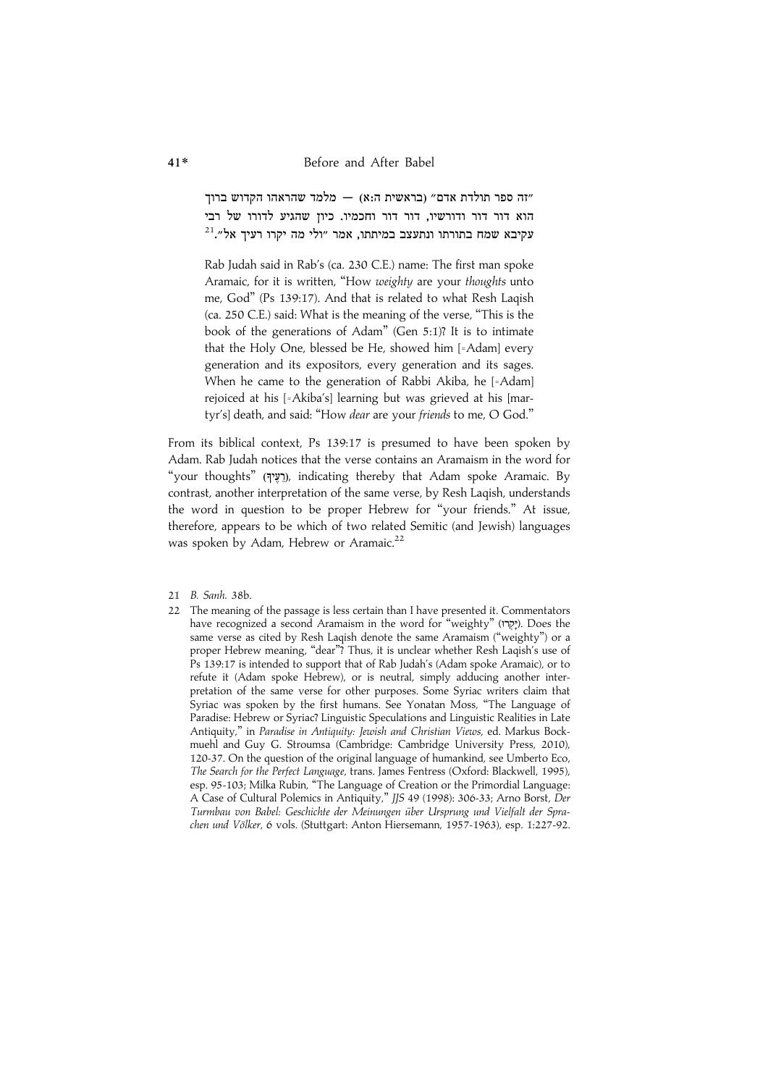זה ספר תולדת אדם״ (בראשית ה:א) — מלמד שהראהו הקדוש ברוד" .<br>הוא דור דור ודורשיו. דור דור וחכמיו. כיוז שהגיע לדורו של רבי  $^{21}$ עקיבא שמח בתורתו ונתעצב במיתתו. אמר "ולי מה יקרו רעיד אל".

Rab Judah said in Rab's (ca. 230 C.E.) name: The first man spoke Aramaic, for it is written, "How weighty are your thoughts unto me, God'' (Ps 139:17). And that is related to what Resh Laqish (ca. 250 C.E.) said: What is the meaning of the verse, ''This is the book of the generations of Adam'' (Gen 5:1)? It is to intimate that the Holy One, blessed be He, showed him [=Adam] every generation and its expositors, every generation and its sages. When he came to the generation of Rabbi Akiba, he [=Adam] rejoiced at his [=Akiba's] learning but was grieved at his [martyr's] death, and said: "How *dear* are your *friends* to me, O God."

From its biblical context, Ps 139:17 is presumed to have been spoken by Adam. Rab Judah notices that the verse contains an Aramaism in the word for "your thoughts" (רעיך), indicating thereby that Adam spoke Aramaic. By contrast, another interpretation of the same verse, by Resh Laqish, understands the word in question to be proper Hebrew for ''your friends.'' At issue, therefore, appears to be which of two related Semitic (and Jewish) languages was spoken by Adam, Hebrew or Aramaic.<sup>22</sup>

- 21 B. Sanh. 38b.
- 22 The meaning of the passage is less certain than I have presented it. Commentators have recognized a second Aramaism in the word for "weighty" (יִקְרוּ). Does the same verse as cited by Resh Laqish denote the same Aramaism (''weighty'') or a proper Hebrew meaning, "dear"? Thus, it is unclear whether Resh Laqish's use of Ps 139:17 is intended to support that of Rab Judah's (Adam spoke Aramaic), or to refute it (Adam spoke Hebrew), or is neutral, simply adducing another interpretation of the same verse for other purposes. Some Syriac writers claim that Syriac was spoken by the first humans. See Yonatan Moss, ''The Language of Paradise: Hebrew or Syriac? Linguistic Speculations and Linguistic Realities in Late Antiquity,'' in Paradise in Antiquity: Jewish and Christian Views, ed. Markus Bockmuehl and Guy G. Stroumsa (Cambridge: Cambridge University Press, 2010), 120-37. On the question of the original language of humankind, see Umberto Eco, The Search for the Perfect Language, trans. James Fentress (Oxford: Blackwell, 1995), esp. 95-103; Milka Rubin, ''The Language of Creation or the Primordial Language: A Case of Cultural Polemics in Antiquity,'' JJS 49 (1998): 306-33; Arno Borst, Der Turmbau von Babel: Geschichte der Meinungen über Ursprung und Vielfalt der Sprachen und Völker, 6 vols. (Stuttgart: Anton Hiersemann, 1957-1963), esp. 1:227-92.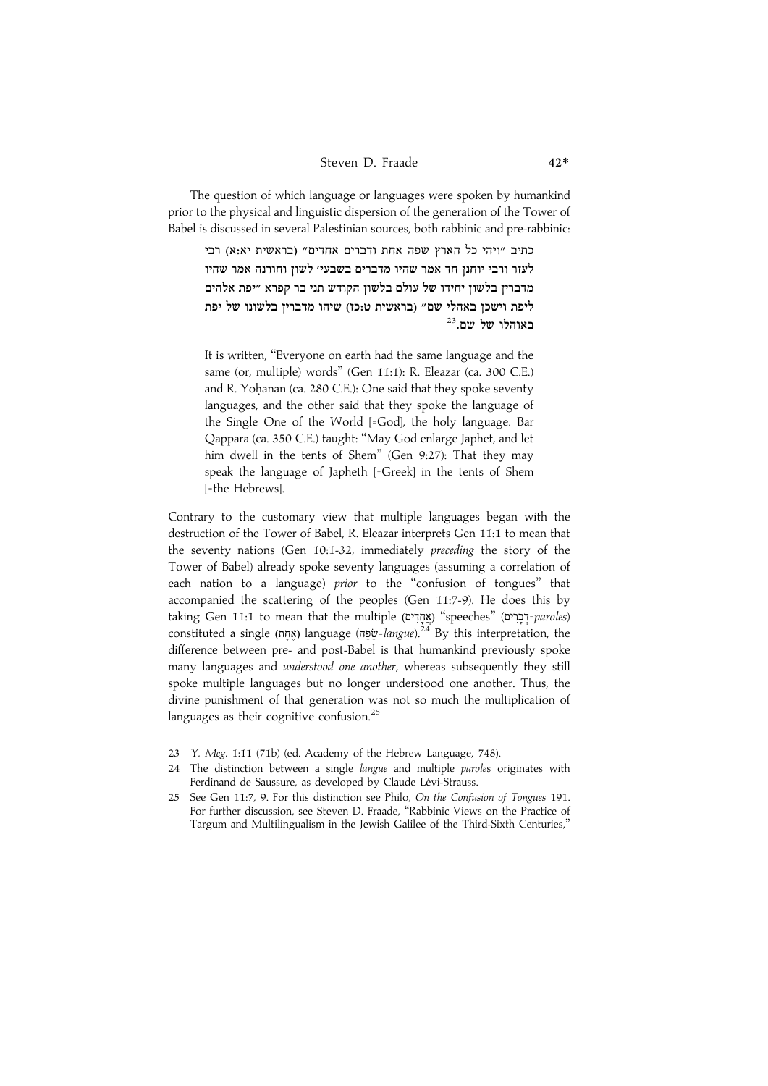#### Steven D. Fraade 42\*

The question of which language or languages were spoken by humankind prior to the physical and linguistic dispersion of the generation of the Tower of Babel is discussed in several Palestinian sources, both rabbinic and pre-rabbinic:

כתיב ״ויהי כל הארץ שפה אחת ודברים אחדים״ (בראשית יא:א) רבי לעזר ורבי יוחנז חד אמר שהיו מדברים בשבעי׳ לשוז וחורנה אמר שהיו מדבריז בלשוז יחידו של עולם בלשוז הקודש תני בר קפרא ״יפת אלהים ליפת וישכז באהלי שם״ (בראשית ט:כז) שיהו מדבריז בלשונו של יפת  $^{23}$ באוהלו של שם.

It is written, ''Everyone on earth had the same language and the same (or, multiple) words'' (Gen 11:1): R. Eleazar (ca. 300 C.E.) and R. Yohanan (ca. 280 C.E.): One said that they spoke seventy languages, and the other said that they spoke the language of the Single One of the World [=God], the holy language. Bar Qappara (ca. 350 C.E.) taught: ''May God enlarge Japhet, and let him dwell in the tents of Shem'' (Gen 9:27): That they may speak the language of Japheth [=Greek] in the tents of Shem [=the Hebrews].

Contrary to the customary view that multiple languages began with the destruction of the Tower of Babel, R. Eleazar interprets Gen 11:1 to mean that the seventy nations (Gen 10:1-32, immediately preceding the story of the Tower of Babel) already spoke seventy languages (assuming a correlation of each nation to a language) prior to the ''confusion of tongues'' that accompanied the scattering of the peoples (Gen 11:7-9). He does this by taking Gen 11:1 to mean that the multiple (אֲחָרִים) "speeches" (אֲחָרִים) constituted a single (אָחָמ) language (שְׁפָּה langue).<sup>24</sup> By this interpretation, the difference between pre- and post-Babel is that humankind previously spoke many languages and understood one another, whereas subsequently they still spoke multiple languages but no longer understood one another. Thus, the divine punishment of that generation was not so much the multiplication of languages as their cognitive confusion.<sup>25</sup>

- 23 Y. Meg. 1:11 (71b) (ed. Academy of the Hebrew Language, 748).
- 24 The distinction between a single langue and multiple paroles originates with Ferdinand de Saussure, as developed by Claude Lévi-Strauss.
- 25 See Gen 11:7, 9. For this distinction see Philo, On the Confusion of Tongues 191. For further discussion, see Steven D. Fraade, ''Rabbinic Views on the Practice of Targum and Multilingualism in the Jewish Galilee of the Third-Sixth Centuries,''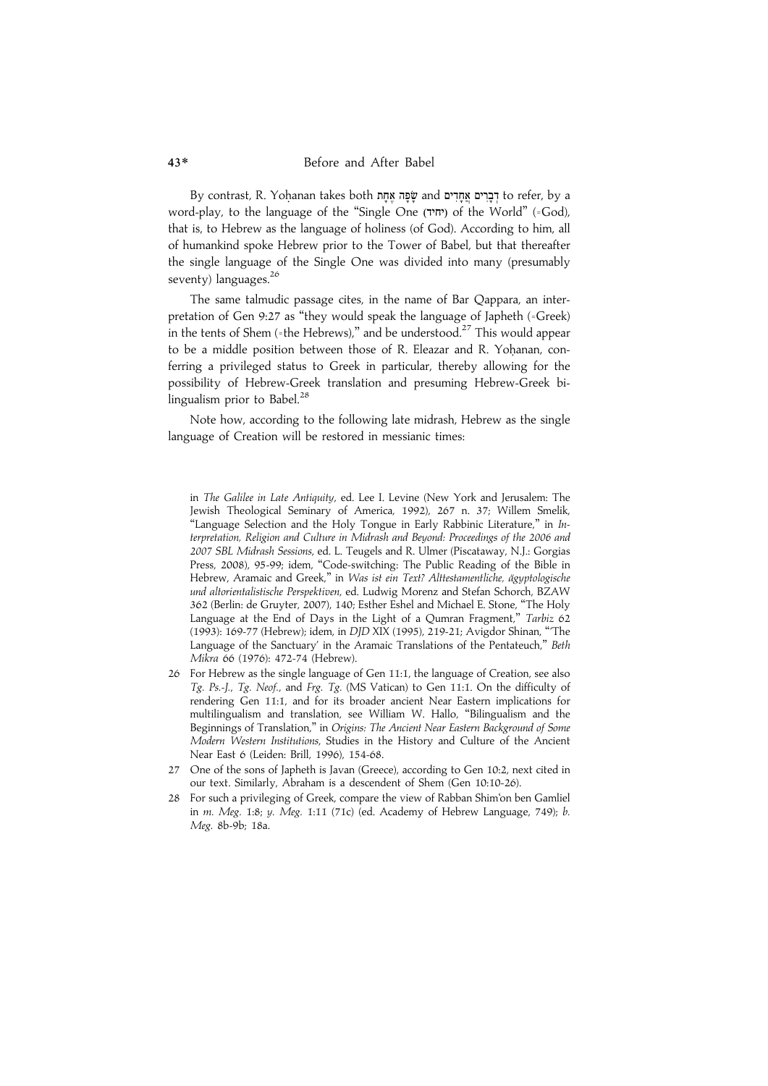By contrast, R. Yoḥanan takes both שָׁפָּה אֶחָדִים and דְּבָרִים אֲחָדִים to refer, by a word-play, to the language of the "Single One (יחיד) of the World" (=God), that is, to Hebrew as the language of holiness (of God). According to him, all of humankind spoke Hebrew prior to the Tower of Babel, but that thereafter the single language of the Single One was divided into many (presumably seventy) languages.<sup>26</sup>

The same talmudic passage cites, in the name of Bar Qappara, an interpretation of Gen 9:27 as ''they would speak the language of Japheth (=Greek) in the tents of Shem (=the Hebrews)," and be understood.<sup>27</sup> This would appear to be a middle position between those of R. Eleazar and R. Yohanan, conferring a privileged status to Greek in particular, thereby allowing for the possibility of Hebrew-Greek translation and presuming Hebrew-Greek bilingualism prior to Babel. $^{28}$ 

Note how, according to the following late midrash, Hebrew as the single language of Creation will be restored in messianic times:

- 26 For Hebrew as the single language of Gen 11:1, the language of Creation, see also Tg. Ps.-J., Tg. Neof., and Frg. Tg. (MS Vatican) to Gen 11:1. On the difficulty of rendering Gen 11:1, and for its broader ancient Near Eastern implications for multilingualism and translation, see William W. Hallo, ''Bilingualism and the Beginnings of Translation," in Origins: The Ancient Near Eastern Background of Some Modern Western Institutions, Studies in the History and Culture of the Ancient Near East 6 (Leiden: Brill, 1996), 154-68.
- 27 One of the sons of Japheth is Javan (Greece), according to Gen 10:2, next cited in our text. Similarly, Abraham is a descendent of Shem (Gen 10:10-26).
- 28 For such a privileging of Greek, compare the view of Rabban Shim'on ben Gamliel in m. Meg. 1:8; y. Meg. 1:11 (71c) (ed. Academy of Hebrew Language, 749); b. Meg. 8b-9b; 18a.

in The Galilee in Late Antiquity, ed. Lee I. Levine (New York and Jerusalem: The Jewish Theological Seminary of America, 1992), 267 n. 37; Willem Smelik, "Language Selection and the Holy Tongue in Early Rabbinic Literature," in Interpretation, Religion and Culture in Midrash and Beyond: Proceedings of the 2006 and 2007 SBL Midrash Sessions, ed. L. Teugels and R. Ulmer (Piscataway, N.J.: Gorgias Press, 2008), 95-99; idem, "Code-switching: The Public Reading of the Bible in Hebrew, Aramaic and Greek," in Was ist ein Text? Alttestamentliche, ägyptologische und altorientalistische Perspektiven, ed. Ludwig Morenz and Stefan Schorch, BZAW 362 (Berlin: de Gruyter, 2007), 140; Esther Eshel and Michael E. Stone, ''The Holy Language at the End of Days in the Light of a Qumran Fragment," Tarbiz 62 (1993): 169-77 (Hebrew); idem, in DJD XIX (1995), 219-21; Avigdor Shinan, '''The Language of the Sanctuary' in the Aramaic Translations of the Pentateuch," Beth Mikra 66 (1976): 472-74 (Hebrew).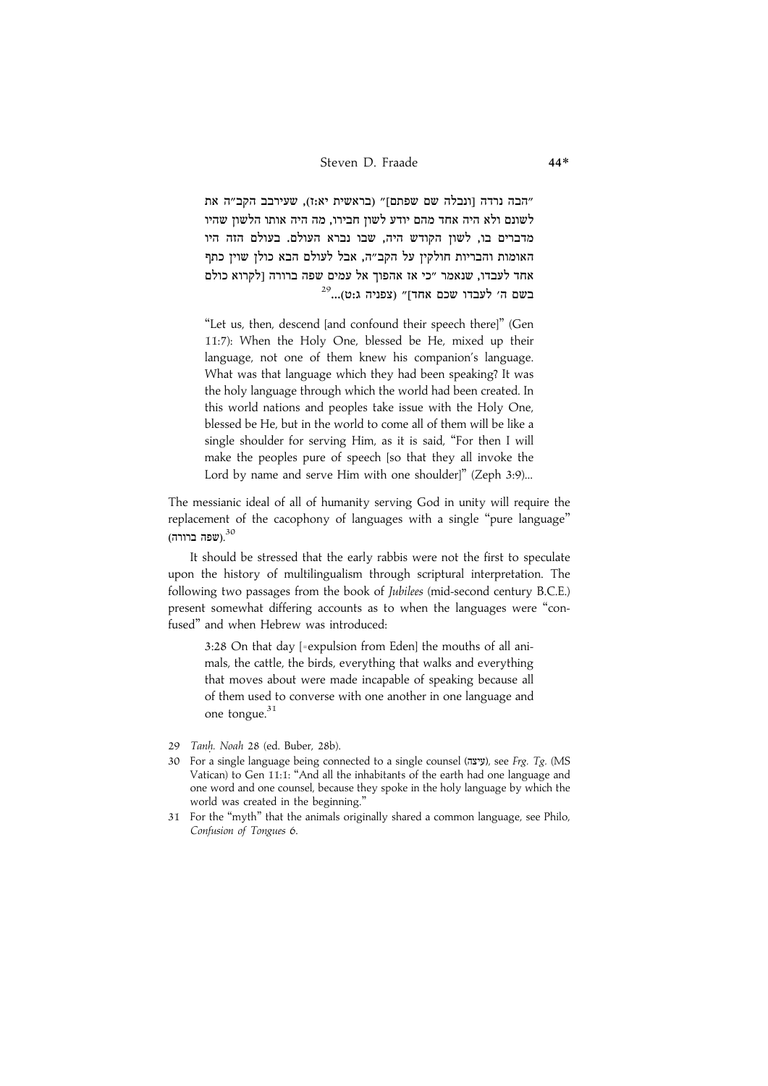הבה נרדה וונבלה שם שפתם]" (בראשית יא:ז). שעירבב הקב"ה את" .<br>לשונם ולא היה אחד מהם יודע לשוז חבירו. מה היה אותו הלשוז שהיו .<br>מדברים בו. לשוז הקודש היה. שבו נברא העולם. בעולם הזה היו האומות והבריות חולקיז על הקב״ה. אבל לעולם הבא כולז שויז כתף אחד לעבדו. שנאמר ״כי אז אהפוד אל עמים שפה ברורה ולקרוא כולם  $^{29}$ בשם ה׳ לעבדו שכם אחד]״ (צפניה ג:ט)...

"Let us, then, descend [and confound their speech there]" (Gen 11:7): When the Holy One, blessed be He, mixed up their language, not one of them knew his companion's language. What was that language which they had been speaking? It was the holy language through which the world had been created. In this world nations and peoples take issue with the Holy One, blessed be He, but in the world to come all of them will be like a single shoulder for serving Him, as it is said, ''For then I will make the peoples pure of speech [so that they all invoke the Lord by name and serve Him with one shoulder]" (Zeph 3:9)...

The messianic ideal of all of humanity serving God in unity will require the replacement of the cacophony of languages with a single ''pure language'' שפה ברורה). $^{30}$ 

It should be stressed that the early rabbis were not the first to speculate upon the history of multilingualism through scriptural interpretation. The following two passages from the book of Jubilees (mid-second century B.C.E.) present somewhat differing accounts as to when the languages were ''confused'' and when Hebrew was introduced:

3:28 On that day [=expulsion from Eden] the mouths of all animals, the cattle, the birds, everything that walks and everything that moves about were made incapable of speaking because all of them used to converse with one another in one language and one tongue.<sup>31</sup>

- 29 Tanh. Noah 28 (ed. Buber, 28b).
- 30 For a single language being connected to a single counsel (עיצה), see Frg. Tg. (MS Vatican) to Gen 11:1: ''And all the inhabitants of the earth had one language and one word and one counsel, because they spoke in the holy language by which the world was created in the beginning.''
- 31 For the ''myth'' that the animals originally shared a common language, see Philo, Confusion of Tongues 6.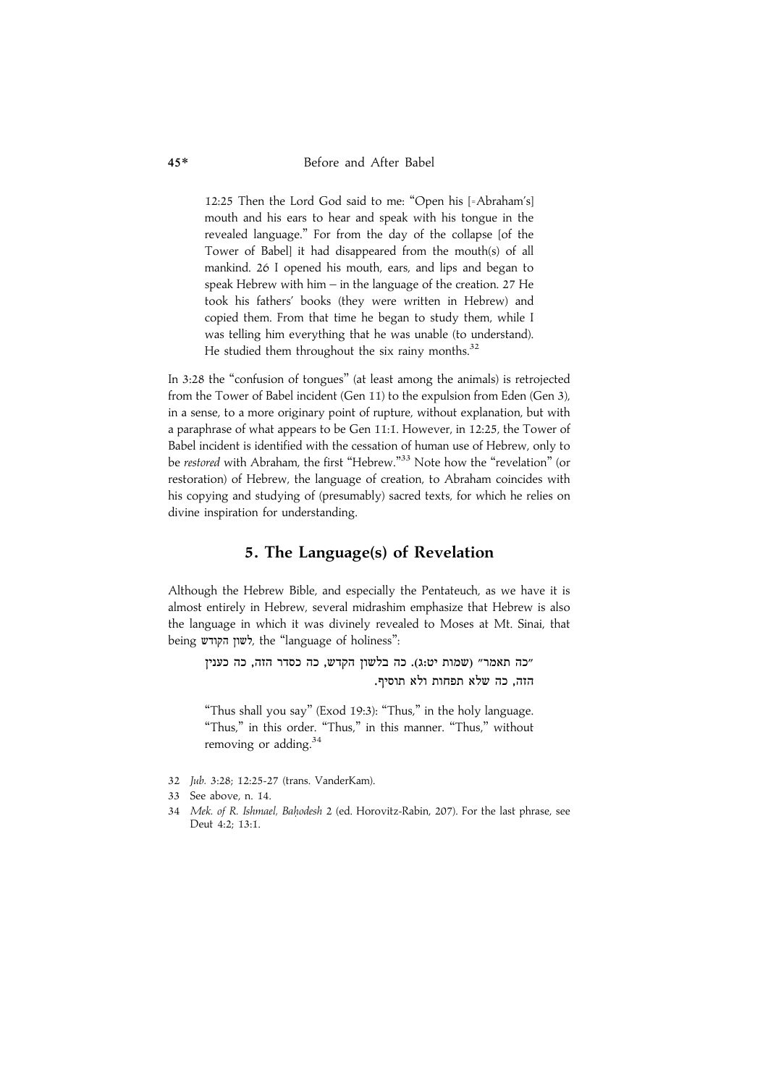12:25 Then the Lord God said to me: ''Open his [=Abraham's] mouth and his ears to hear and speak with his tongue in the revealed language.'' For from the day of the collapse [of the Tower of Babel] it had disappeared from the mouth(s) of all mankind. 26 I opened his mouth, ears, and lips and began to speak Hebrew with him – in the language of the creation. 27 He took his fathers' books (they were written in Hebrew) and copied them. From that time he began to study them, while I was telling him everything that he was unable (to understand). He studied them throughout the six rainy months. $32$ 

In 3:28 the ''confusion of tongues'' (at least among the animals) is retrojected from the Tower of Babel incident (Gen 11) to the expulsion from Eden (Gen 3), in a sense, to a more originary point of rupture, without explanation, but with a paraphrase of what appears to be Gen 11:1. However, in 12:25, the Tower of Babel incident is identified with the cessation of human use of Hebrew, only to be *restored* with Abraham, the first "Hebrew."<sup>33</sup> Note how the "revelation" (or restoration) of Hebrew, the language of creation, to Abraham coincides with his copying and studying of (presumably) sacred texts, for which he relies on divine inspiration for understanding.

### 5. The Language(s) of Revelation

Although the Hebrew Bible, and especially the Pentateuch, as we have it is almost entirely in Hebrew, several midrashim emphasize that Hebrew is also the language in which it was divinely revealed to Moses at Mt. Sinai, that being לשון הקודש, the "language of holiness":

"כה תאמר" (שמות יט:ג). כה בלשון הקדש, כה כסדר הזה, כה כענין .<br>הזה. כה שלא תפחות ולא תוסיף.

"Thus shall you say" (Exod 19:3): "Thus," in the holy language. "Thus," in this order. "Thus," in this manner. "Thus," without removing or adding.<sup>34</sup>

- 32 Jub. 3:28; 12:25-27 (trans. VanderKam).
- 33 See above, n. 14.
- 34 Mek. of R. Ishmael, Bahodesh 2 (ed. Horovitz-Rabin, 207). For the last phrase, see Deut 4:2; 13:1.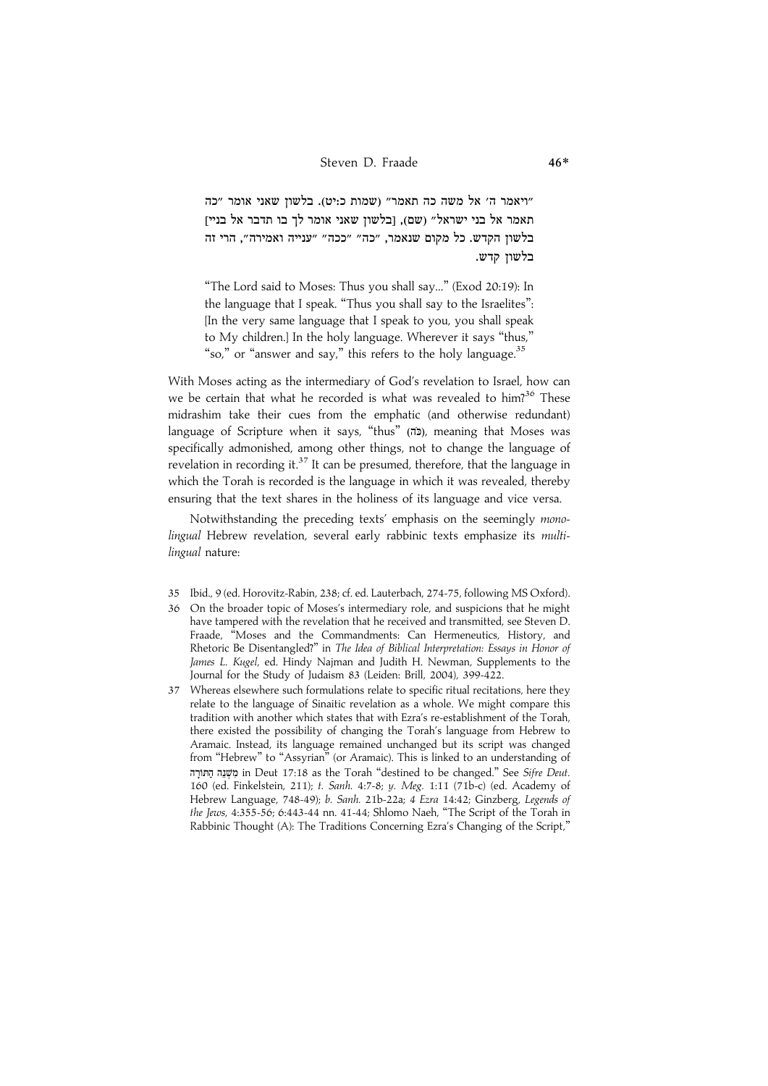ריאמר ה' אל משה כה תאמר" (שמות כ:יט). בלשון שאני אומר "כה" האמר אל בני ישראל״ ושם). ובלשוז שאני אומר לד בו תדבר אל בנייז .<br>בלשוז הקדש. כל מקום שנאמר, ״כה״ ״ככה״ ״ענייה ואמירה״, הרי זה בלשון קדש.

''The Lord said to Moses: Thus you shall say...'' (Exod 20:19): In the language that I speak. ''Thus you shall say to the Israelites'': [In the very same language that I speak to you, you shall speak to My children.] In the holy language. Wherever it says ''thus,'' "so," or "answer and say," this refers to the holy language. $35$ 

With Moses acting as the intermediary of God's revelation to Israel, how can we be certain that what he recorded is what was revealed to him?<sup>36</sup> These midrashim take their cues from the emphatic (and otherwise redundant) language of Scripture when it says, "thus" (ch), meaning that Moses was specifically admonished, among other things, not to change the language of revelation in recording it.<sup>37</sup> It can be presumed, therefore, that the language in which the Torah is recorded is the language in which it was revealed, thereby ensuring that the text shares in the holiness of its language and vice versa.

Notwithstanding the preceding texts' emphasis on the seemingly monolingual Hebrew revelation, several early rabbinic texts emphasize its multilingual nature:

- 35 Ibid., 9 (ed. Horovitz-Rabin, 238; cf. ed. Lauterbach, 274-75, following MS Oxford).
- 36 On the broader topic of Moses's intermediary role, and suspicions that he might have tampered with the revelation that he received and transmitted, see Steven D. Fraade, "Moses and the Commandments: Can Hermeneutics, History, and Rhetoric Be Disentangled?'' in The Idea of Biblical Interpretation: Essays in Honor of James L. Kugel, ed. Hindy Najman and Judith H. Newman, Supplements to the Journal for the Study of Judaism 83 (Leiden: Brill, 2004), 399-422.
- 37 Whereas elsewhere such formulations relate to specific ritual recitations, here they relate to the language of Sinaitic revelation as a whole. We might compare this tradition with another which states that with Ezra's re-establishment of the Torah, there existed the possibility of changing the Torah's language from Hebrew to Aramaic. Instead, its language remained unchanged but its script was changed from "Hebrew" to "Assyrian" (or Aramaic). This is linked to an understanding of FZ@fvF# FR+r^ P] in Deut 17:18 as the Torah ''destined to be changed.'' See Sifre Deut. 160 (ed. Finkelstein, 211); t. Sanh. 4:7-8; y. Meg. 1:11 (71b-c) (ed. Academy of Hebrew Language, 748-49); b. Sanh. 21b-22a; 4 Ezra 14:42; Ginzberg, Legends of the Jews, 4:355-56; 6:443-44 nn. 41-44; Shlomo Naeh, ''The Script of the Torah in Rabbinic Thought (A): The Traditions Concerning Ezra's Changing of the Script,"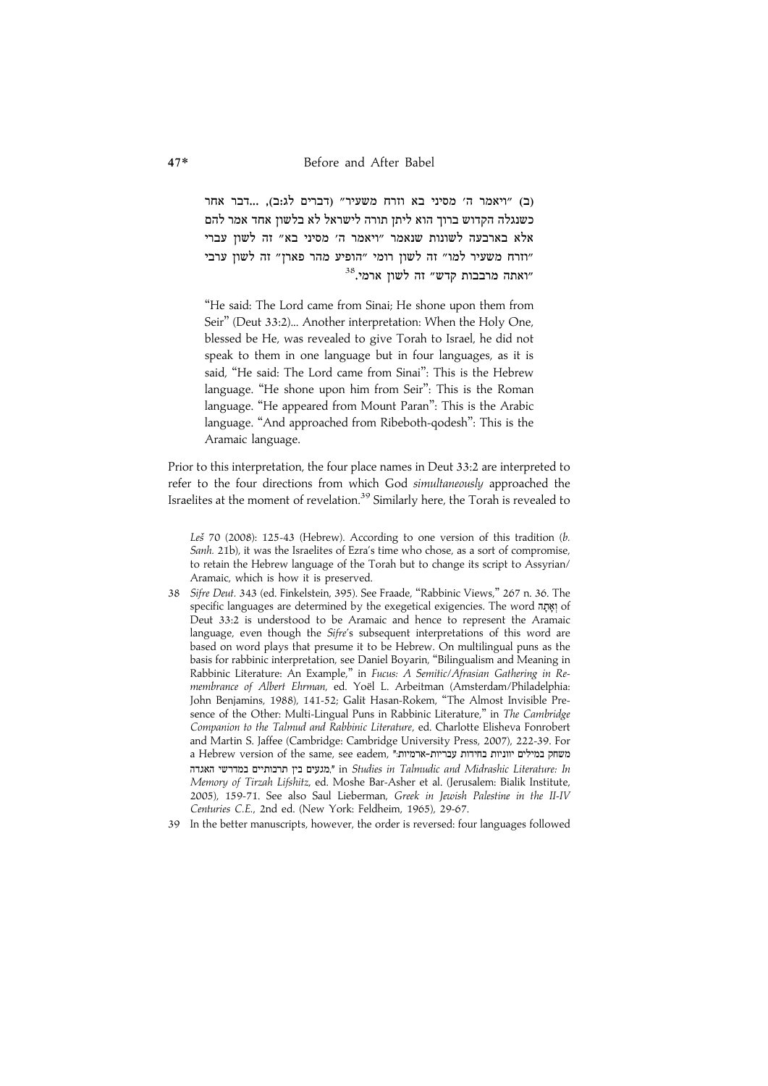וב) ״ויאמר ה׳ מסיני בא וזרח משעיר״ ודברים לג:ב), ...דבר אחר .<br>בשנגלה הקדוש ברוד הוא ליתז תורה לישראל לא בלשוז אחד אמר להם אלא בארבעה לשונות שנאמר "ויאמר ה' מסיני בא" זה לשון עברי ודרח משעיר למו״ זה לשוז רומי ״הופיע מהר פארז״ זה לשוז ערבי" "ואתה מרבבות קדש" זה לשון ארמי.<sup>38</sup>

''He said: The Lord came from Sinai; He shone upon them from Seir'' (Deut 33:2)... Another interpretation: When the Holy One, blessed be He, was revealed to give Torah to Israel, he did not speak to them in one language but in four languages, as it is said, "He said: The Lord came from Sinai": This is the Hebrew language. "He shone upon him from Seir": This is the Roman language. "He appeared from Mount Paran": This is the Arabic language. ''And approached from Ribeboth-qodesh'': This is the Aramaic language.

Prior to this interpretation, the four place names in Deut 33:2 are interpreted to refer to the four directions from which God simultaneously approached the Israelites at the moment of revelation.<sup>39</sup> Similarly here, the Torah is revealed to

Les<sup>70</sup> (2008): 125-43 (Hebrew). According to one version of this tradition (b. Sanh. 21b), it was the Israelites of Ezra's time who chose, as a sort of compromise, to retain the Hebrew language of the Torah but to change its script to Assyrian/ Aramaic, which is how it is preserved.

- 38 Sifre Deut. 343 (ed. Finkelstein, 395). See Fraade, ''Rabbinic Views,'' 267 n. 36. The specific languages are determined by the exegetical exigencies. The word וְאָתָה of Deut 33:2 is understood to be Aramaic and hence to represent the Aramaic language, even though the Sifre's subsequent interpretations of this word are based on word plays that presume it to be Hebrew. On multilingual puns as the basis for rabbinic interpretation, see Daniel Boyarin, ''Bilingualism and Meaning in Rabbinic Literature: An Example," in Fucus: A Semitic/Afrasian Gathering in Remembrance of Albert Ehrman, ed. Yoël L. Arbeitman (Amsterdam/Philadelphia: John Benjamins, 1988), 141-52; Galit Hasan-Rokem, ''The Almost Invisible Presence of the Other: Multi-Lingual Puns in Rabbinic Literature," in The Cambridge Companion to the Talmud and Rabbinic Literature, ed. Charlotte Elisheva Fonrobert and Martin S. Jaffee (Cambridge: Cambridge University Press, 2007), 222-39. For a Hebrew version of the same, see eadem, "משחק במילים יווניות בחידות עבריות-ארמיות." הגעים בין תרבותיים במדרשי האגדה," in Studies in Talmudic and Midrashic Literature: In Memory of Tirzah Lifshitz, ed. Moshe Bar-Asher et al. (Jerusalem: Bialik Institute, 2005), 159-71. See also Saul Lieberman, Greek in Jewish Palestine in the II-IV Centuries C.E., 2nd ed. (New York: Feldheim, 1965), 29-67.
- 39 In the better manuscripts, however, the order is reversed: four languages followed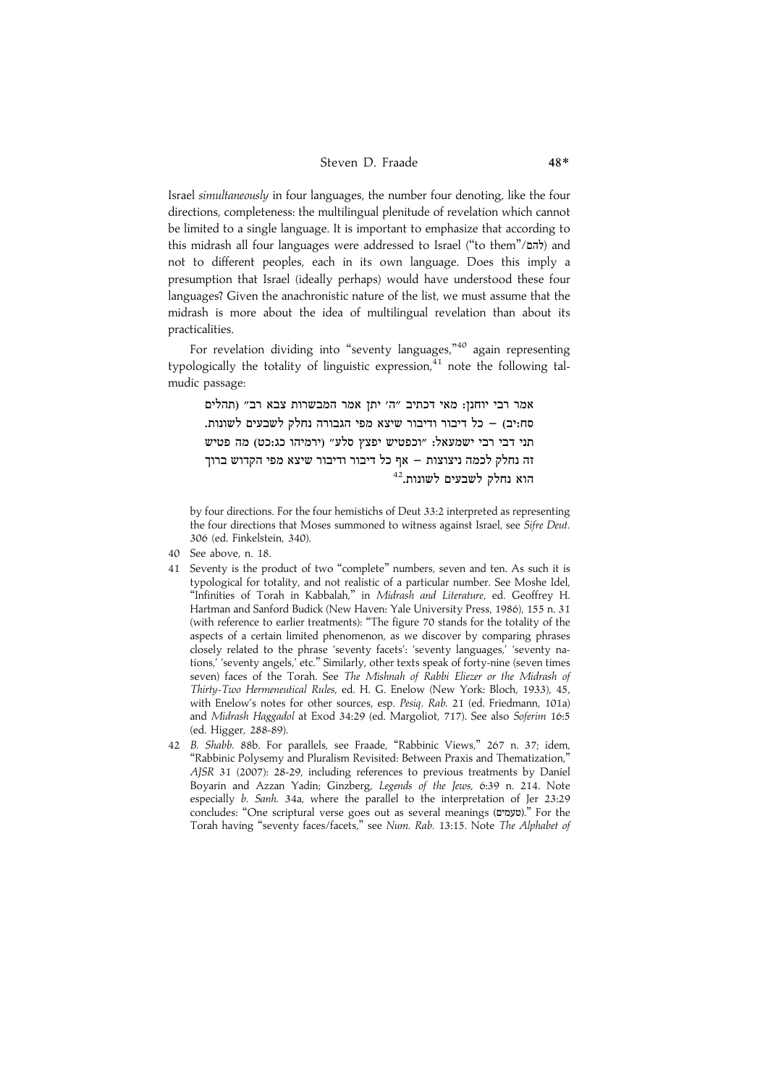Israel simultaneously in four languages, the number four denoting, like the four directions, completeness: the multilingual plenitude of revelation which cannot be limited to a single language. It is important to emphasize that according to this midrash all four languages were addressed to Israel ("to them"/להם and not to different peoples, each in its own language. Does this imply a presumption that Israel (ideally perhaps) would have understood these four languages? Given the anachronistic nature of the list, we must assume that the midrash is more about the idea of multilingual revelation than about its practicalities.

For revelation dividing into "seventy languages,"<sup>40</sup> again representing typologically the totality of linguistic expression, $41$  note the following talmudic passage:

אמר רבי יוחנז: מאי דכתיב ״ה׳ יתז אמר המבשרות צבא רב״ (תהלים סח:יב) – כל דיבור ודיבור שיצא מפי הגבורה נחלק לשבעים לשונות. תני דבי רבי ישמעאל: "וכפטיש יפצץ סלע" (ירמיהו כג:כט) מה פטיש וה נחלק לכמה ניצוצות – אף כל דיבור ודיבור שיצא מפי הקדוש ברוד הוא נחלק לשבעים לשונות.<sup>42</sup>

by four directions. For the four hemistichs of Deut 33:2 interpreted as representing the four directions that Moses summoned to witness against Israel, see Sifre Deut. 306 (ed. Finkelstein, 340).

- 40 See above, n. 18.
- 41 Seventy is the product of two ''complete'' numbers, seven and ten. As such it is typological for totality, and not realistic of a particular number. See Moshe Idel, ''Infinities of Torah in Kabbalah,'' in Midrash and Literature, ed. Geoffrey H. Hartman and Sanford Budick (New Haven: Yale University Press, 1986), 155 n. 31 (with reference to earlier treatments): ''The figure 70 stands for the totality of the aspects of a certain limited phenomenon, as we discover by comparing phrases closely related to the phrase 'seventy facets': 'seventy languages,' 'seventy nations,' 'seventy angels,' etc.'' Similarly, other texts speak of forty-nine (seven times seven) faces of the Torah. See The Mishnah of Rabbi Eliezer or the Midrash of Thirty-Two Hermeneutical Rules, ed. H. G. Enelow (New York: Bloch, 1933), 45, with Enelow's notes for other sources, esp. Pesiq. Rab. 21 (ed. Friedmann, 101a) and Midrash Haggadol at Exod 34:29 (ed. Margoliot, 717). See also Soferim 16:5 (ed. Higger, 288-89).
- 42 B. Shabb. 88b. For parallels, see Fraade, ''Rabbinic Views,'' 267 n. 37; idem, ''Rabbinic Polysemy and Pluralism Revisited: Between Praxis and Thematization,'' AJSR 31 (2007): 28-29, including references to previous treatments by Daniel Boyarin and Azzan Yadin; Ginzberg, Legends of the Jews, 6:39 n. 214. Note especially b. Sanh. 34a, where the parallel to the interpretation of Jer 23:29 concludes: "One scriptural verse goes out as several meanings (שעמים)." For the Torah having "seventy faces/facets," see Num. Rab. 13:15. Note The Alphabet of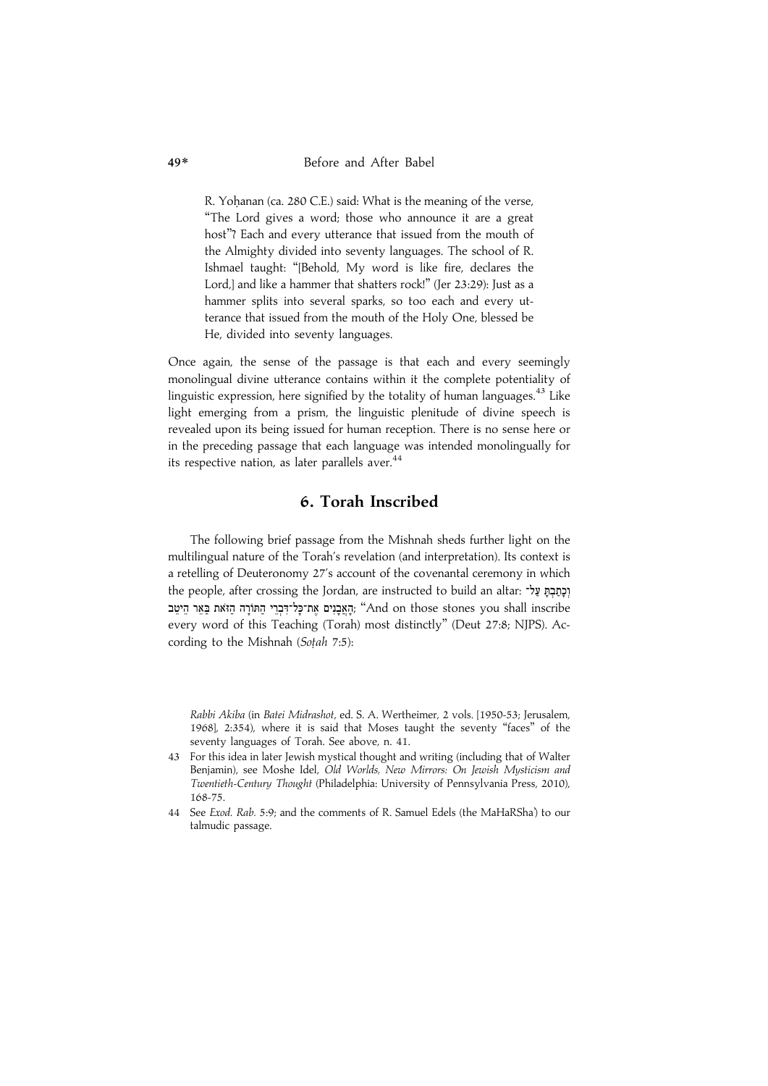R. Yohanan (ca. 280 C.E.) said: What is the meaning of the verse, ''The Lord gives a word; those who announce it are a great host''? Each and every utterance that issued from the mouth of the Almighty divided into seventy languages. The school of R. Ishmael taught: ''[Behold, My word is like fire, declares the Lord,] and like a hammer that shatters rock!" (Jer 23:29): Just as a hammer splits into several sparks, so too each and every utterance that issued from the mouth of the Holy One, blessed be He, divided into seventy languages.

Once again, the sense of the passage is that each and every seemingly monolingual divine utterance contains within it the complete potentiality of linguistic expression, here signified by the totality of human languages.<sup>43</sup> Like light emerging from a prism, the linguistic plenitude of divine speech is revealed upon its being issued for human reception. There is no sense here or in the preceding passage that each language was intended monolingually for its respective nation, as later parallels aver.<sup>44</sup>

### 6. Torah Inscribed

The following brief passage from the Mishnah sheds further light on the multilingual nature of the Torah's revelation (and interpretation). Its context is a retelling of Deuteronomy 27's account of the covenantal ceremony in which the people, after crossing the Jordan, are instructed to build an altar: יְכַתְּבָתְּ עַל־ ָהָאֲבָנִים אֶת־כָּל־דִּבְרֵי הַתּוֹרָה הַזֹּאת בַּאֵר הֵיטֵב, "And on those stones you shall inscribe every word of this Teaching (Torah) most distinctly'' (Deut 27:8; NJPS). According to the Mishnah (Soțah 7:5):

Rabbi Akiba (in Batei Midrashot, ed. S. A. Wertheimer, 2 vols. [1950-53; Jerusalem, 1968], 2:354), where it is said that Moses taught the seventy ''faces'' of the seventy languages of Torah. See above, n. 41.

- 43 For this idea in later Jewish mystical thought and writing (including that of Walter Benjamin), see Moshe Idel, Old Worlds, New Mirrors: On Jewish Mysticism and Twentieth-Century Thought (Philadelphia: University of Pennsylvania Press, 2010), 168-75.
- 44 See Exod. Rab. 5:9; and the comments of R. Samuel Edels (the MaHaRSha') to our talmudic passage.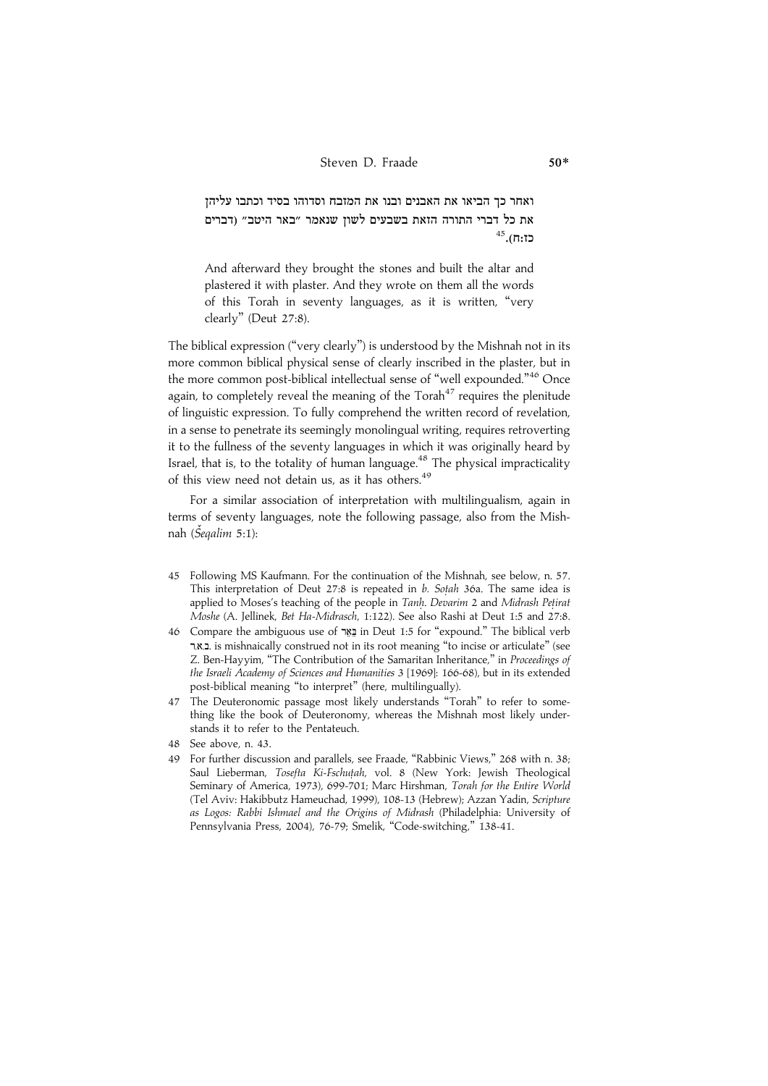.<br>ואחר כד הביאו את האבנים ובנו את המזבח וסדוהו בסיד וכתבו עליהז את כל דברי התורה הזאת בשבעים לשוז שנאמר ״באר היטב״ (דברים בז:ח).<sup>45</sup>

And afterward they brought the stones and built the altar and plastered it with plaster. And they wrote on them all the words of this Torah in seventy languages, as it is written, ''very clearly'' (Deut 27:8).

The biblical expression (''very clearly'') is understood by the Mishnah not in its more common biblical physical sense of clearly inscribed in the plaster, but in the more common post-biblical intellectual sense of "well expounded."<sup>46</sup> Once again, to completely reveal the meaning of the  $T$ orah $47$  requires the plenitude of linguistic expression. To fully comprehend the written record of revelation, in a sense to penetrate its seemingly monolingual writing, requires retroverting it to the fullness of the seventy languages in which it was originally heard by Israel, that is, to the totality of human language.<sup>48</sup> The physical impracticality of this view need not detain us, as it has others.<sup>49</sup>

For a similar association of interpretation with multilingualism, again in terms of seventy languages, note the following passage, also from the Mishnah (*Šeqalim 5*:1):

- 45 Following MS Kaufmann. For the continuation of the Mishnah, see below, n. 57. This interpretation of Deut 27:8 is repeated in  $b$ . Sotah 36a. The same idea is applied to Moses's teaching of the people in Tanh. Devarim 2 and Midrash Petirat Moshe (A. Jellinek, Bet Ha-Midrasch, 1:122). See also Rashi at Deut 1:5 and 27:8.
- 46 Compare the ambiguous use of בֵאֵר in Deut 1:5 for "expound." The biblical verb Z.B.C. is mishnaically construed not in its root meaning ''to incise or articulate'' (see Z. Ben-Hayyim, ''The Contribution of the Samaritan Inheritance,'' in Proceedings of the Israeli Academy of Sciences and Humanities 3 [1969]: 166-68), but in its extended post-biblical meaning ''to interpret'' (here, multilingually).
- 47 The Deuteronomic passage most likely understands ''Torah'' to refer to something like the book of Deuteronomy, whereas the Mishnah most likely understands it to refer to the Pentateuch.
- 48 See above, n. 43.
- 49 For further discussion and parallels, see Fraade, "Rabbinic Views," 268 with n. 38; Saul Lieberman, Tosefta Ki-Fschuṭah, vol. 8 (New York: Jewish Theological Seminary of America, 1973), 699-701; Marc Hirshman, Torah for the Entire World (Tel Aviv: Hakibbutz Hameuchad, 1999), 108-13 (Hebrew); Azzan Yadin, Scripture as Logos: Rabbi Ishmael and the Origins of Midrash (Philadelphia: University of Pennsylvania Press, 2004), 76-79; Smelik, "Code-switching," 138-41.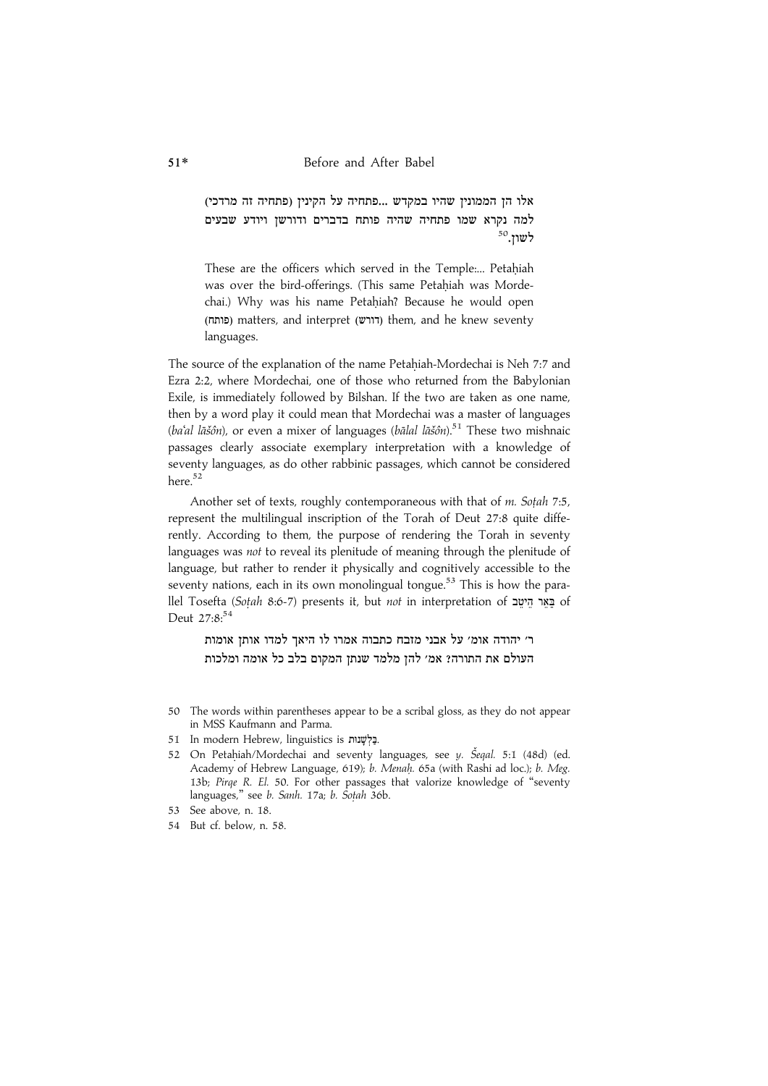..<br>אלו הז הממוניז שהיו במקדש ...פתחיה על הקיניז (פתחיה זה מרדכי .<br>למה נקרא שמו פתחיה שהיה פותח בדברים ודורשז ויודע שבעים  $^{50}$ שון.

These are the officers which served in the Temple:... Petahiah was over the bird-offerings. (This same Petahiah was Mordechai.) Why was his name Petahiah? Because he would open (פותח) matters, and interpret (דורש) them, and he knew seventy languages.

The source of the explanation of the name Petahiah-Mordechai is Neh 7:7 and Ezra 2:2, where Mordechai, one of those who returned from the Babylonian Exile, is immediately followed by Bilshan. If the two are taken as one name, then by a word play it could mean that Mordechai was a master of languages (ba'al lāšôn), or even a mixer of languages (bālal lāšôn).<sup>51</sup> These two mishnaic passages clearly associate exemplary interpretation with a knowledge of seventy languages, as do other rabbinic passages, which cannot be considered here.<sup>52</sup>

Another set of texts, roughly contemporaneous with that of  $m$ . Sotah 7:5, represent the multilingual inscription of the Torah of Deut 27:8 quite differently. According to them, the purpose of rendering the Torah in seventy languages was not to reveal its plenitude of meaning through the plenitude of language, but rather to render it physically and cognitively accessible to the seventy nations, each in its own monolingual tongue.<sup>53</sup> This is how the parallel Tosefta (Soțah 8:6-7) presents it, but not in interpretation of Exr באר היטב Deut 27:8:<sup>54</sup>

ר׳ יהודה אומ׳ על אבני מזבח כתבוה אמרו לו היאד למדו אותז אומות העולם את התורה? אמ׳ להז מלמד שנתז המקום בלב כל אומה ומלכות

- 50 The words within parentheses appear to be a scribal gloss, as they do not appear in MSS Kaufmann and Parma.
- 51 In modern Hebrew, linguistics is בַּלְשָׁנוּת.
- 52 On Petahiah/Mordechai and seventy languages, see y. Šeqal. 5:1 (48d) (ed. Academy of Hebrew Language, 619); b. Menah. 65a (with Rashi ad loc.); b. Meg. 13b; Pirqe R. El. 50. For other passages that valorize knowledge of ''seventy languages," see b. Sanh. 17a; b. Sotah 36b.
- 53 See above, n. 18.
- 54 But cf. below, n. 58.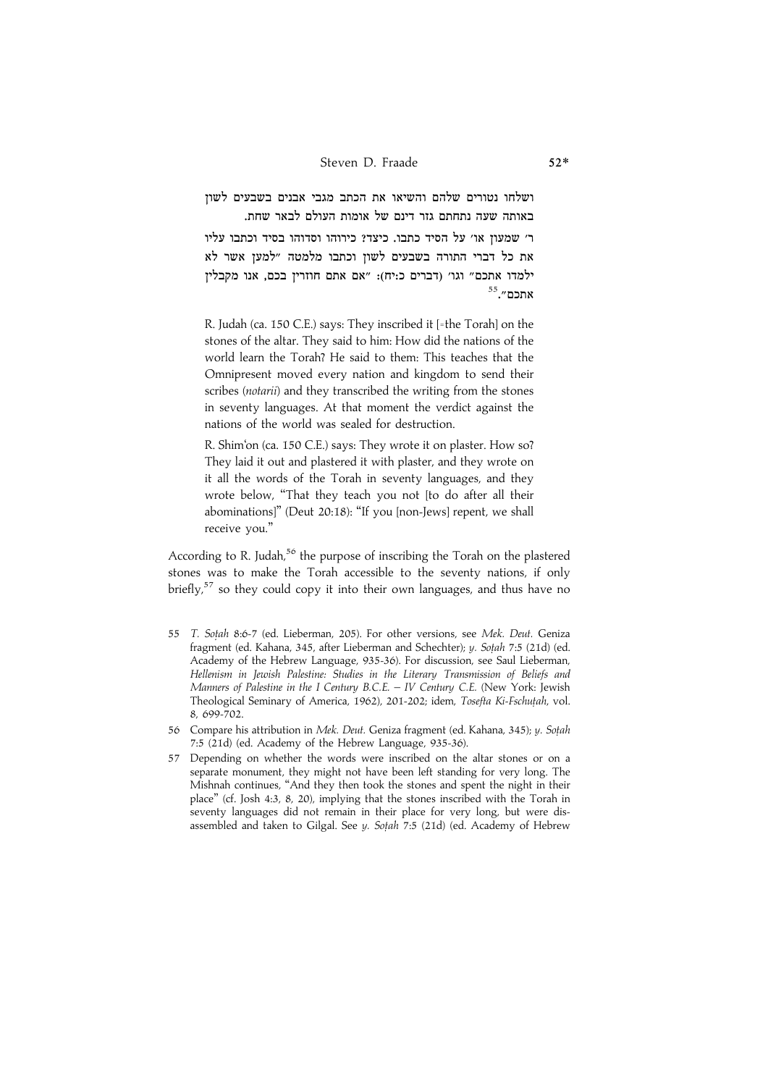.<br>ושלחו נטורים שלהם והשיאו את הכתב מגבי אבנים בשבעים לשוז .<br>באותה שעה נתחתם גזר דינם של אומות העולם לבאר שחת.

ר׳ שמעון או׳ על הסיד כתבו. כיצד? כירוהו וסדוהו בסיד וכתבו עליו .<br>את כל דברי התורה בשבעים לשוז וכתבו מלמטה ״למעז אשר לא ילמדו אתכם״ וגו׳ (דברים כ:יח): ״אם אתם חוזריז בכם. אנו מקבליז אתכם״.<sup>55</sup>

R. Judah (ca. 150 C.E.) says: They inscribed it [=the Torah] on the stones of the altar. They said to him: How did the nations of the world learn the Torah? He said to them: This teaches that the Omnipresent moved every nation and kingdom to send their scribes (notarii) and they transcribed the writing from the stones in seventy languages. At that moment the verdict against the nations of the world was sealed for destruction.

R. Shim'on (ca. 150 C.E.) says: They wrote it on plaster. How so? They laid it out and plastered it with plaster, and they wrote on it all the words of the Torah in seventy languages, and they wrote below, ''That they teach you not [to do after all their abominations]'' (Deut 20:18): ''If you [non-Jews] repent, we shall receive you.''

According to R. Judah,<sup>56</sup> the purpose of inscribing the Torah on the plastered stones was to make the Torah accessible to the seventy nations, if only briefly, $57$  so they could copy it into their own languages, and thus have no

- 55 T. Sotah 8:6-7 (ed. Lieberman, 205). For other versions, see Mek. Deut. Geniza fragment (ed. Kahana, 345, after Lieberman and Schechter); y. Sotah 7:5 (21d) (ed. Academy of the Hebrew Language, 935-36). For discussion, see Saul Lieberman, Hellenism in Jewish Palestine: Studies in the Literary Transmission of Beliefs and Manners of Palestine in the I Century B.C.E. – IV Century C.E. (New York: Jewish Theological Seminary of America, 1962), 201-202; idem, Tosefta Ki-Fschutah, vol. 8, 699-702.
- 56 Compare his attribution in Mek. Deut. Geniza fragment (ed. Kahana, 345); y. Sotah 7:5 (21d) (ed. Academy of the Hebrew Language, 935-36).
- 57 Depending on whether the words were inscribed on the altar stones or on a separate monument, they might not have been left standing for very long. The Mishnah continues, ''And they then took the stones and spent the night in their place'' (cf. Josh 4:3, 8, 20), implying that the stones inscribed with the Torah in seventy languages did not remain in their place for very long, but were disassembled and taken to Gilgal. See y. Sotah 7:5 (21d) (ed. Academy of Hebrew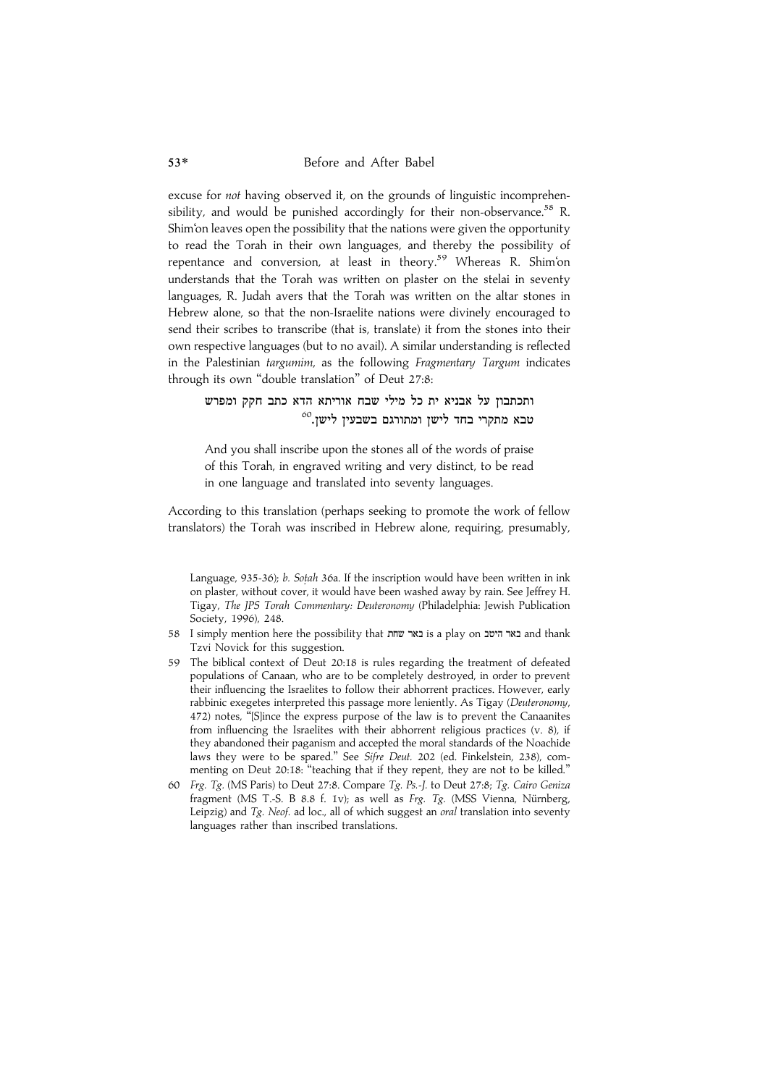excuse for not having observed it, on the grounds of linguistic incomprehensibility, and would be punished accordingly for their non-observance.<sup>58</sup> R. Shim'on leaves open the possibility that the nations were given the opportunity to read the Torah in their own languages, and thereby the possibility of repentance and conversion, at least in theory.<sup>59</sup> Whereas R. Shim'on understands that the Torah was written on plaster on the stelai in seventy languages, R. Judah avers that the Torah was written on the altar stones in Hebrew alone, so that the non-Israelite nations were divinely encouraged to send their scribes to transcribe (that is, translate) it from the stones into their own respective languages (but to no avail). A similar understanding is reflected in the Palestinian targumim, as the following Fragmentary Targum indicates through its own ''double translation'' of Deut 27:8:

ותכתבוז על אבניא ית כל מילי שבח אוריתא הדא כתב חקק ומפרש  $^{60}$ טבא מתקרי בחד לישז ומתורגם בשבעיז לישז.

And you shall inscribe upon the stones all of the words of praise of this Torah, in engraved writing and very distinct, to be read in one language and translated into seventy languages.

According to this translation (perhaps seeking to promote the work of fellow translators) the Torah was inscribed in Hebrew alone, requiring, presumably,

Language, 935-36); b. Sotah 36a. If the inscription would have been written in ink on plaster, without cover, it would have been washed away by rain. See Jeffrey H. Tigay, The JPS Torah Commentary: Deuteronomy (Philadelphia: Jewish Publication Society, 1996), 248.

- 58 I simply mention here the possibility that נאר היטב is a play on באר היטב Tzvi Novick for this suggestion.
- 59 The biblical context of Deut 20:18 is rules regarding the treatment of defeated populations of Canaan, who are to be completely destroyed, in order to prevent their influencing the Israelites to follow their abhorrent practices. However, early rabbinic exegetes interpreted this passage more leniently. As Tigay (Deuteronomy, 472) notes, ''[S]ince the express purpose of the law is to prevent the Canaanites from influencing the Israelites with their abhorrent religious practices (v. 8), if they abandoned their paganism and accepted the moral standards of the Noachide laws they were to be spared.'' See Sifre Deut. 202 (ed. Finkelstein, 238), commenting on Deut 20:18: "teaching that if they repent, they are not to be killed."
- 60 Frg. Tg. (MS Paris) to Deut 27:8. Compare Tg. Ps.-J. to Deut 27:8; Tg. Cairo Geniza fragment (MS T.-S. B 8.8 f. 1v); as well as Frg. Tg. (MSS Vienna, Nürnberg, Leipzig) and  $Tg$ . Neof. ad loc., all of which suggest an oral translation into seventy languages rather than inscribed translations.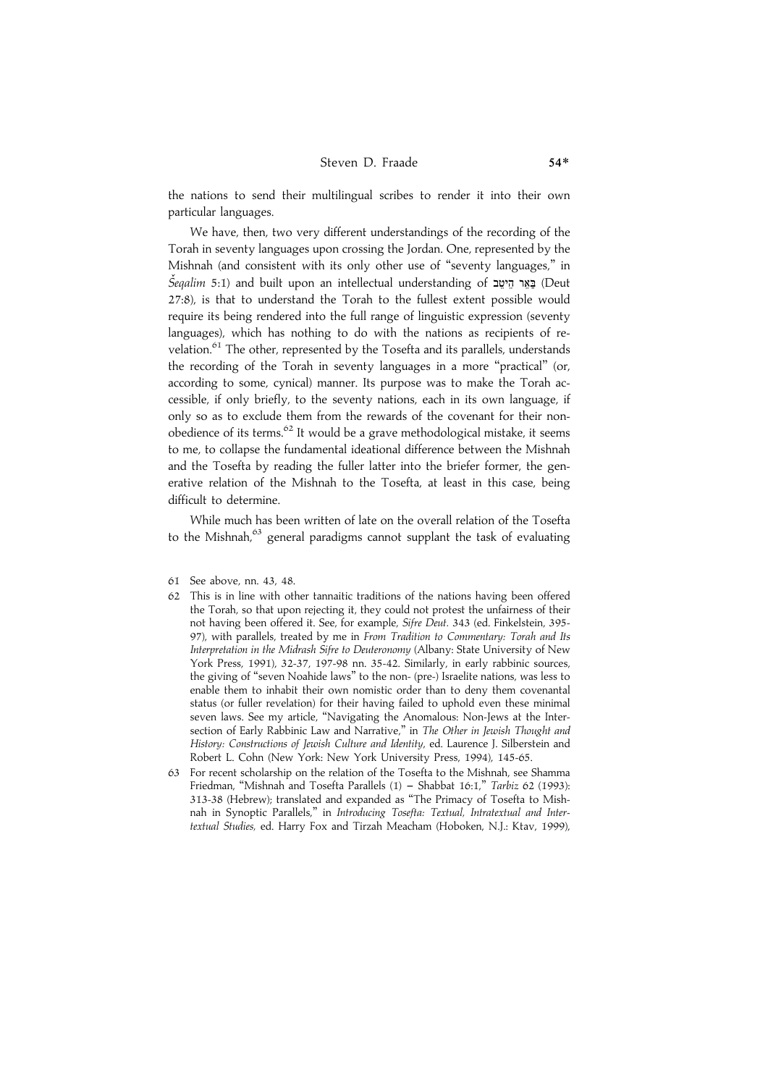the nations to send their multilingual scribes to render it into their own particular languages.

We have, then, two very different understandings of the recording of the Torah in seventy languages upon crossing the Jordan. One, represented by the Mishnah (and consistent with its only other use of ''seventy languages,'' in  $\check{S}$ egalim 5:1) and built upon an intellectual understanding of בַּאֵר הֵיטֵב (Deut 27:8), is that to understand the Torah to the fullest extent possible would require its being rendered into the full range of linguistic expression (seventy languages), which has nothing to do with the nations as recipients of revelation.<sup>61</sup> The other, represented by the Tosefta and its parallels, understands the recording of the Torah in seventy languages in a more ''practical'' (or, according to some, cynical) manner. Its purpose was to make the Torah accessible, if only briefly, to the seventy nations, each in its own language, if only so as to exclude them from the rewards of the covenant for their nonobedience of its terms.<sup>62</sup> It would be a grave methodological mistake, it seems to me, to collapse the fundamental ideational difference between the Mishnah and the Tosefta by reading the fuller latter into the briefer former, the generative relation of the Mishnah to the Tosefta, at least in this case, being difficult to determine.

While much has been written of late on the overall relation of the Tosefta to the Mishnah. $63$  general paradigms cannot supplant the task of evaluating

- 61 See above, nn. 43, 48.
- 62 This is in line with other tannaitic traditions of the nations having been offered the Torah, so that upon rejecting it, they could not protest the unfairness of their not having been offered it. See, for example, Sifre Deut. 343 (ed. Finkelstein, 395- 97), with parallels, treated by me in From Tradition to Commentary: Torah and Its Interpretation in the Midrash Sifre to Deuteronomy (Albany: State University of New York Press, 1991), 32-37, 197-98 nn. 35-42. Similarly, in early rabbinic sources, the giving of ''seven Noahide laws'' to the non- (pre-) Israelite nations, was less to enable them to inhabit their own nomistic order than to deny them covenantal status (or fuller revelation) for their having failed to uphold even these minimal seven laws. See my article, ''Navigating the Anomalous: Non-Jews at the Intersection of Early Rabbinic Law and Narrative," in The Other in Jewish Thought and History: Constructions of Jewish Culture and Identity, ed. Laurence J. Silberstein and Robert L. Cohn (New York: New York University Press, 1994), 145-65.
- 63 For recent scholarship on the relation of the Tosefta to the Mishnah, see Shamma Friedman, "Mishnah and Tosefta Parallels  $(1)$  - Shabbat 16:1," Tarbiz 62 (1993): 313-38 (Hebrew); translated and expanded as ''The Primacy of Tosefta to Mishnah in Synoptic Parallels,'' in Introducing Tosefta: Textual, Intratextual and Intertextual Studies, ed. Harry Fox and Tirzah Meacham (Hoboken, N.J.: Ktav, 1999),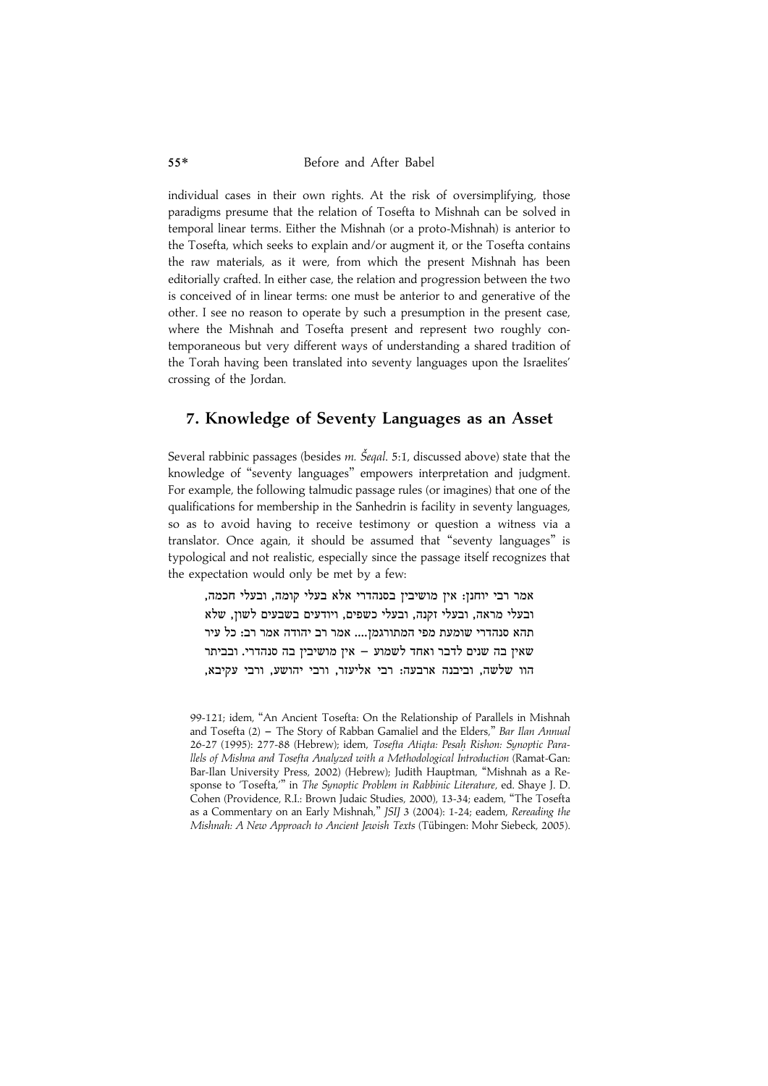individual cases in their own rights. At the risk of oversimplifying, those paradigms presume that the relation of Tosefta to Mishnah can be solved in temporal linear terms. Either the Mishnah (or a proto-Mishnah) is anterior to the Tosefta, which seeks to explain and/or augment it, or the Tosefta contains the raw materials, as it were, from which the present Mishnah has been editorially crafted. In either case, the relation and progression between the two is conceived of in linear terms: one must be anterior to and generative of the other. I see no reason to operate by such a presumption in the present case, where the Mishnah and Tosefta present and represent two roughly contemporaneous but very different ways of understanding a shared tradition of the Torah having been translated into seventy languages upon the Israelites' crossing of the Jordan.

### 7. Knowledge of Seventy Languages as an Asset

Several rabbinic passages (besides *m. Šeqal.* 5:1, discussed above) state that the knowledge of ''seventy languages'' empowers interpretation and judgment. For example, the following talmudic passage rules (or imagines) that one of the qualifications for membership in the Sanhedrin is facility in seventy languages, so as to avoid having to receive testimony or question a witness via a translator. Once again, it should be assumed that ''seventy languages'' is typological and not realistic, especially since the passage itself recognizes that the expectation would only be met by a few:

.<br>אמר רבי יוחנז: איז מושיביז בסנהדרי אלא בעלי קומה. ובעלי חכמה ובעלי מראה. ובעלי זקנה. ובעלי כשפים. ויודעים בשבעים לשוז. שלא תהא סנהדרי שומעת מפי המתורגמז.... אמר רב יהודה אמר רב: כל עיר  $\alpha$ שאיז בה שנים לדבר ואחד לשמוע $\alpha$  איז מושיביז בה סנהדרי. ובביתר הוו שלשה, וביבנה ארבעה: רבי אליעזר, ורבי יהושע, ורבי עקיבא,

<sup>99-121;</sup> idem, ''An Ancient Tosefta: On the Relationship of Parallels in Mishnah and Tosefta  $(2)$  – The Story of Rabban Gamaliel and the Elders," Bar Ilan Annual 26-27 (1995): 277-88 (Hebrew); idem, Tosefta Atiqta: Pesah. Rishon: Synoptic Parallels of Mishna and Tosefta Analyzed with a Methodological Introduction (Ramat-Gan: Bar-Ilan University Press, 2002) (Hebrew); Judith Hauptman, ''Mishnah as a Response to 'Tosefta,''' in The Synoptic Problem in Rabbinic Literature, ed. Shaye J. D. Cohen (Providence, R.I.: Brown Judaic Studies, 2000), 13-34; eadem, ''The Tosefta as a Commentary on an Early Mishnah,'' JSIJ 3 (2004): 1-24; eadem, Rereading the Mishnah: A New Approach to Ancient Jewish Texts (Tübingen: Mohr Siebeck, 2005).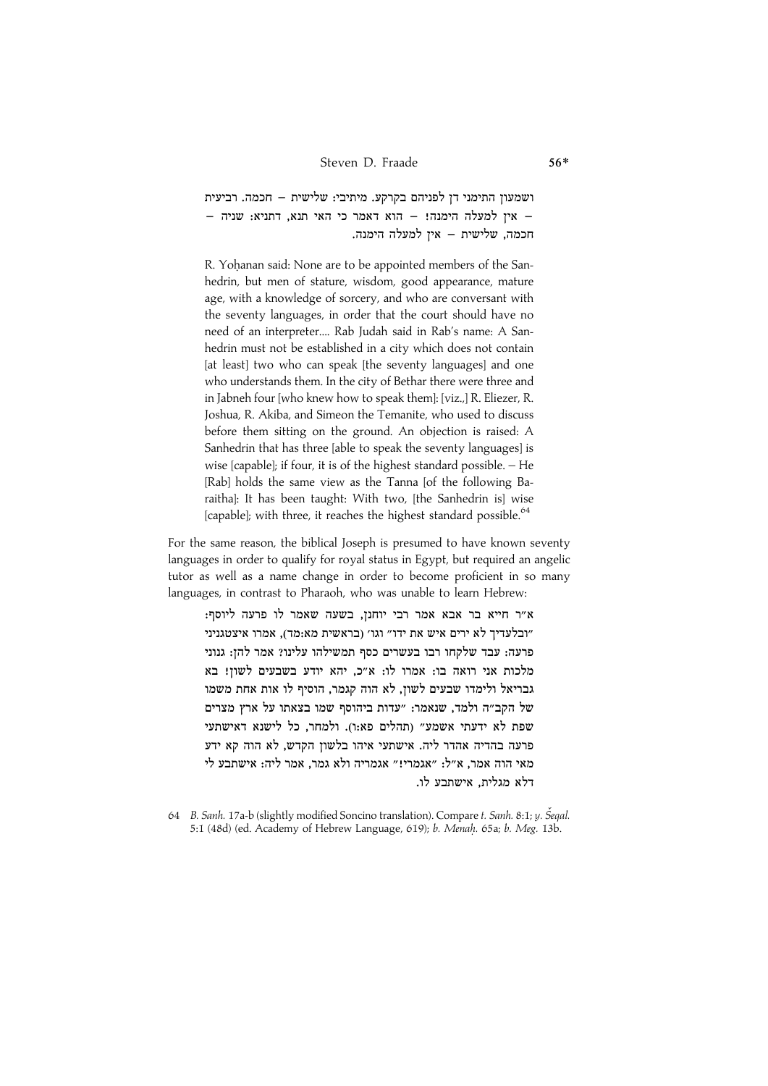.<br>ושמעוז התימני דז לפניהם בקרקע. מיתיבי: שלישית – חכמה. רביעית  $-$  אין למעלה הימנה!  $-$  הוא דאמר כי האי תנא, דתניא: שניה .<br>חכמה, שלישית – אין למעלה הימנה

R. Yohanan said: None are to be appointed members of the Sanhedrin, but men of stature, wisdom, good appearance, mature age, with a knowledge of sorcery, and who are conversant with the seventy languages, in order that the court should have no need of an interpreter.... Rab Judah said in Rab's name: A Sanhedrin must not be established in a city which does not contain [at least] two who can speak [the seventy languages] and one who understands them. In the city of Bethar there were three and in Jabneh four [who knew how to speak them]: [viz.,] R. Eliezer, R. Joshua, R. Akiba, and Simeon the Temanite, who used to discuss before them sitting on the ground. An objection is raised: A Sanhedrin that has three [able to speak the seventy languages] is wise [capable]; if four, it is of the highest standard possible. – He [Rab] holds the same view as the Tanna [of the following Baraitha]: It has been taught: With two, [the Sanhedrin is] wise [capable]; with three, it reaches the highest standard possible.<sup>64</sup>

For the same reason, the biblical Joseph is presumed to have known seventy languages in order to qualify for royal status in Egypt, but required an angelic tutor as well as a name change in order to become proficient in so many languages, in contrast to Pharaoh, who was unable to learn Hebrew:

.<br>א״ר חייא בר אבא אמר רבי יוחנז. בשעה שאמר לו פרעה ליוסף ובלעדיד לא ירים איש את ידו״ וגו׳ (בראשית מא:מד). אמרו איצטגניני" פרעה: עבד שלקחו רבו בעשרים כסף תמשילהו עלינו? אמר להז: גנוני מלכות אני רואה בו: אמרו לו: א״כ. יהא יודע בשבעים לשוז! בא גבריאל ולימדו שבעים לשוז. לא הוה קגמר. הוסיף לו אות אחת משמו של הקב״ה ולמד. שנאמר: ״עדות ביהוסף שמו בצאתו על ארץ מצרים שפת לא ידעתי אשמע״ ותהלים פא:ו). ולמחר, כל לישנא דאישתעי פרעה בהדיה אהדר ליה. אישתעי איהו בלשון הקדש, לא הוה קא ידע מאי הוה אמר, א"ל: "אגמרי!" אגמריה ולא גמר, אמר ליה: אישתבע לי דלא מגלית. אישתבע לו.

64 B. Sanh. 17a-b (slightly modified Soncino translation). Compare t. Sanh. 8:1; y. Šeqal. 5:1 (48d) (ed. Academy of Hebrew Language, 619); b. Menah. 65a; b. Meg. 13b.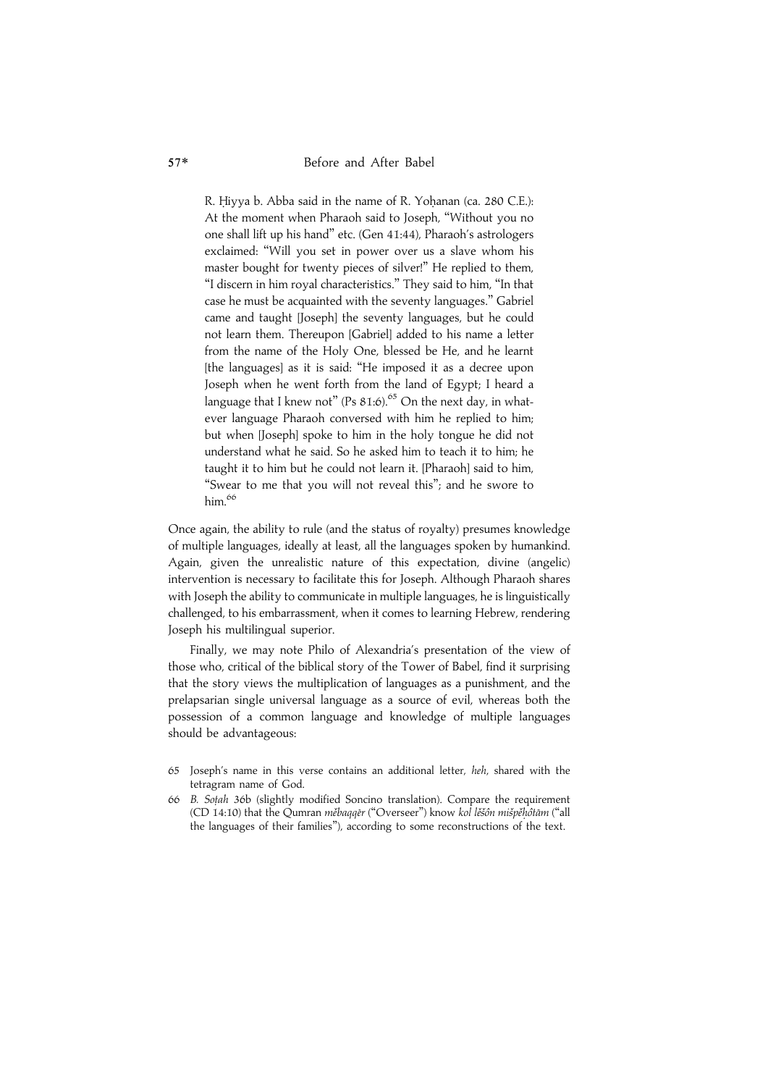R. Hiyya b. Abba said in the name of R. Yohanan (ca. 280 C.E.): At the moment when Pharaoh said to Joseph, ''Without you no one shall lift up his hand'' etc. (Gen 41:44), Pharaoh's astrologers exclaimed: ''Will you set in power over us a slave whom his master bought for twenty pieces of silver!'' He replied to them, ''I discern in him royal characteristics.'' They said to him, ''In that case he must be acquainted with the seventy languages.'' Gabriel came and taught [Joseph] the seventy languages, but he could not learn them. Thereupon [Gabriel] added to his name a letter from the name of the Holy One, blessed be He, and he learnt [the languages] as it is said: "He imposed it as a decree upon Joseph when he went forth from the land of Egypt; I heard a language that I knew not" (Ps  $81:6$ ).<sup>65</sup> On the next day, in whatever language Pharaoh conversed with him he replied to him; but when [Joseph] spoke to him in the holy tongue he did not understand what he said. So he asked him to teach it to him; he taught it to him but he could not learn it. [Pharaoh] said to him, "Swear to me that you will not reveal this"; and he swore to him. $66$ 

Once again, the ability to rule (and the status of royalty) presumes knowledge of multiple languages, ideally at least, all the languages spoken by humankind. Again, given the unrealistic nature of this expectation, divine (angelic) intervention is necessary to facilitate this for Joseph. Although Pharaoh shares with Joseph the ability to communicate in multiple languages, he is linguistically challenged, to his embarrassment, when it comes to learning Hebrew, rendering Joseph his multilingual superior.

Finally, we may note Philo of Alexandria's presentation of the view of those who, critical of the biblical story of the Tower of Babel, find it surprising that the story views the multiplication of languages as a punishment, and the prelapsarian single universal language as a source of evil, whereas both the possession of a common language and knowledge of multiple languages should be advantageous:

- 65 Joseph's name in this verse contains an additional letter, heh, shared with the tetragram name of God.
- 66 B. Sot.ah 36b (slightly modified Soncino translation). Compare the requirement (CD 14:10) that the Qumran měbaggēr ("Overseer") know kol lěšôn mišpěhôtām ("all the languages of their families''), according to some reconstructions of the text.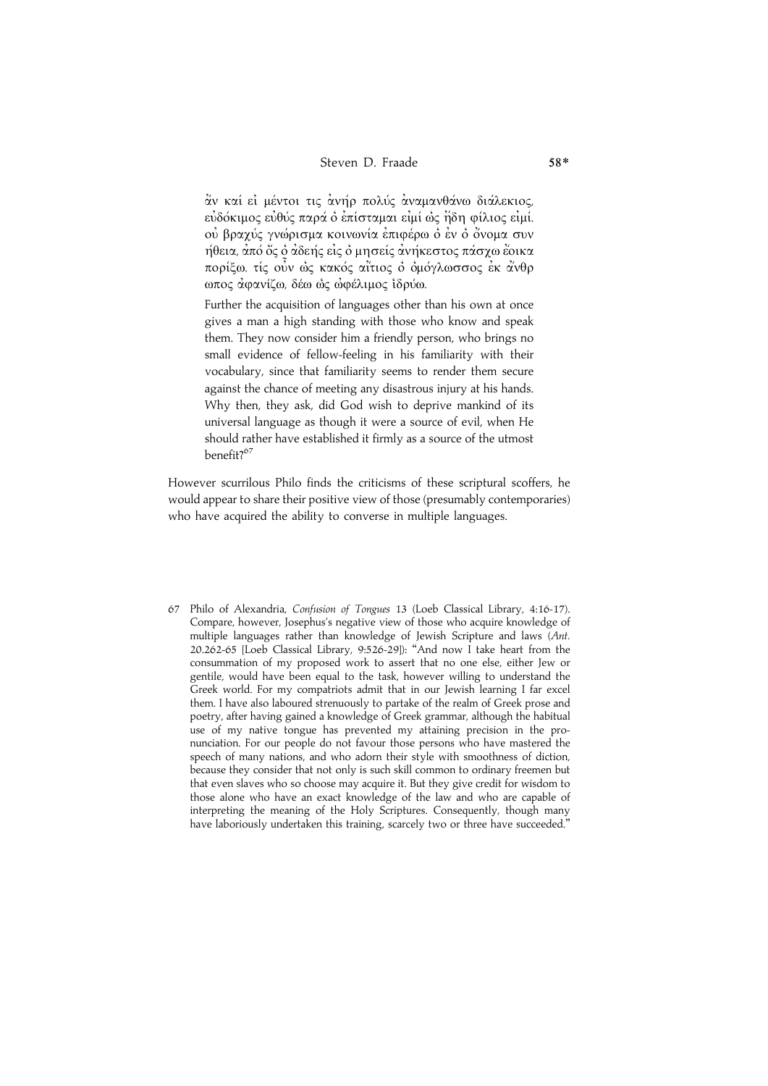άν καί εἰ μέντοι τις ἀνήρ πολύς ἀναμανθάνω διάλεκιος, εὐδόκιμος εὐθύς παρά ὁ ἐπίσταμαι εἰμί ὡς ἤδη φίλιος εἰμί. ού βραχύς γνώρισμα κοινωνία έπιφέρω ό έν ό όνομα συν ήθεια, ἀπό ὅς ὁ ἀδεής εἰς ὁ μησείς ἀνήκεστος πάσχω ἔοικα πορίξω. τίς οὖν ώς κακός αἴτιος ὁ ὁμόγλωσσος ἐκ ἀνθρ ωπος αφανίζω, δέω ως ωφέλιμος ίδρύω.

Further the acquisition of languages other than his own at once gives a man a high standing with those who know and speak them. They now consider him a friendly person, who brings no small evidence of fellow-feeling in his familiarity with their vocabulary, since that familiarity seems to render them secure against the chance of meeting any disastrous injury at his hands. Why then, they ask, did God wish to deprive mankind of its universal language as though it were a source of evil, when He should rather have established it firmly as a source of the utmost benefit?<sup>67</sup>

However scurrilous Philo finds the criticisms of these scriptural scoffers, he would appear to share their positive view of those (presumably contemporaries) who have acquired the ability to converse in multiple languages.

67 Philo of Alexandria, Confusion of Tongues 13 (Loeb Classical Library, 4:16-17). Compare, however, Josephus's negative view of those who acquire knowledge of multiple languages rather than knowledge of Jewish Scripture and laws (Ant. 20.262-65 [Loeb Classical Library, 9:526-29]): ''And now I take heart from the consummation of my proposed work to assert that no one else, either Jew or gentile, would have been equal to the task, however willing to understand the Greek world. For my compatriots admit that in our Jewish learning I far excel them. I have also laboured strenuously to partake of the realm of Greek prose and poetry, after having gained a knowledge of Greek grammar, although the habitual use of my native tongue has prevented my attaining precision in the pronunciation. For our people do not favour those persons who have mastered the speech of many nations, and who adorn their style with smoothness of diction, because they consider that not only is such skill common to ordinary freemen but that even slaves who so choose may acquire it. But they give credit for wisdom to those alone who have an exact knowledge of the law and who are capable of interpreting the meaning of the Holy Scriptures. Consequently, though many have laboriously undertaken this training, scarcely two or three have succeeded.''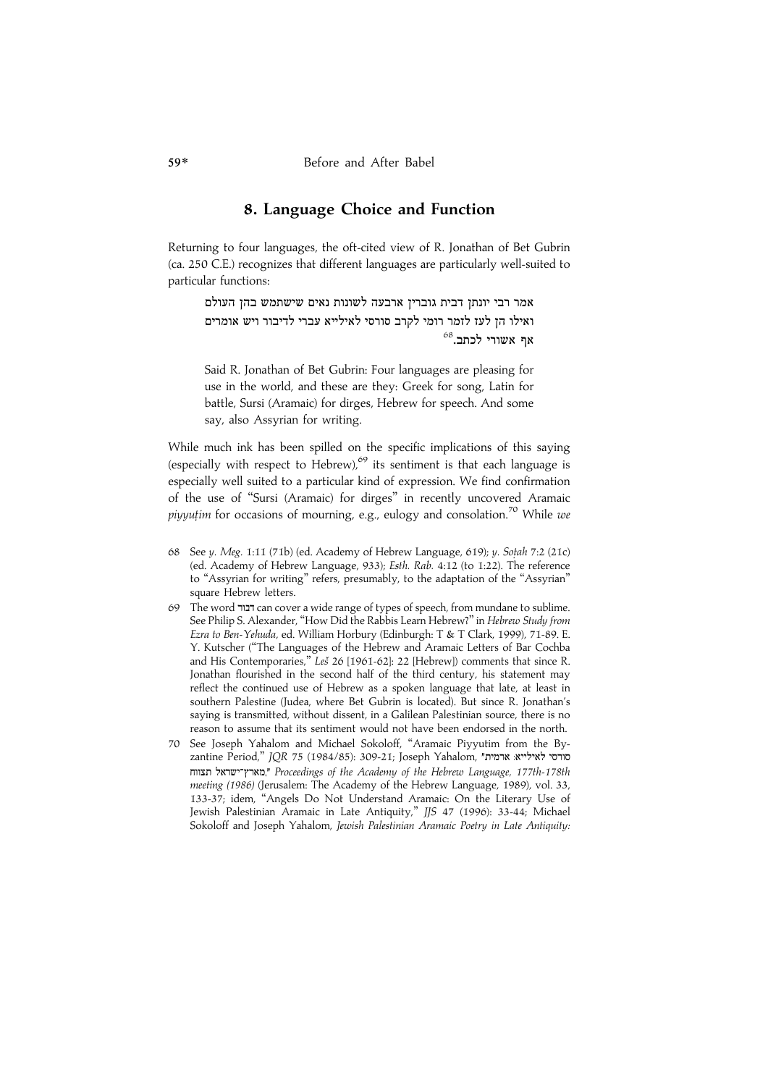### 8. Language Choice and Function

Returning to four languages, the oft-cited view of R. Jonathan of Bet Gubrin (ca. 250 C.E.) recognizes that different languages are particularly well-suited to particular functions:

.<br>אמר רבי יונתז דבית גובריז ארבעה לשונות נאים שישתמש בהז העולם .<br>ואילו הז לעז לזמר רומי לקרב סורסי לאילייא עברי לדיבור ויש אומרים  $^{68}$ לכתב.<br>אף אשורי מ

Said R. Jonathan of Bet Gubrin: Four languages are pleasing for use in the world, and these are they: Greek for song, Latin for battle, Sursi (Aramaic) for dirges, Hebrew for speech. And some say, also Assyrian for writing.

While much ink has been spilled on the specific implications of this saying (especially with respect to Hebrew), $69$  its sentiment is that each language is especially well suited to a particular kind of expression. We find confirmation of the use of ''Sursi (Aramaic) for dirges'' in recently uncovered Aramaic *piyyutim* for occasions of mourning, e.g., eulogy and consolation.<sup>70</sup> While we

- 68 See y. Meg. 1:11 (71b) (ed. Academy of Hebrew Language, 619); y. Sotah 7:2 (21c) (ed. Academy of Hebrew Language, 933); Esth. Rab. 4:12 (to 1:22). The reference to ''Assyrian for writing'' refers, presumably, to the adaptation of the ''Assyrian'' square Hebrew letters.
- 69 The word ZGCE can cover a wide range of types of speech, from mundane to sublime. See Philip S. Alexander, ''How Did the Rabbis Learn Hebrew?'' in Hebrew Study from Ezra to Ben-Yehuda, ed. William Horbury (Edinburgh: T & T Clark, 1999), 71-89. E. Y. Kutscher (''The Languages of the Hebrew and Aramaic Letters of Bar Cochba and His Contemporaries," Les 26 [1961-62]: 22 [Hebrew]) comments that since R. Jonathan flourished in the second half of the third century, his statement may reflect the continued use of Hebrew as a spoken language that late, at least in southern Palestine (Judea, where Bet Gubrin is located). But since R. Jonathan's saying is transmitted, without dissent, in a Galilean Palestinian source, there is no reason to assume that its sentiment would not have been endorsed in the north.
- 70 See Joseph Yahalom and Michael Sokoloff, ''Aramaic Piyyutim from the By $z$ antine Period," JQR 75 (1984/85): 309-21; Joseph Yahalom, "ארמית" הארץ־ישראל תצווח," Proceedings of the Academy of the Hebrew Language, 177th-178th meeting (1986) (Jerusalem: The Academy of the Hebrew Language, 1989), vol. 33, 133-37; idem, ''Angels Do Not Understand Aramaic: On the Literary Use of Jewish Palestinian Aramaic in Late Antiquity,'' JJS 47 (1996): 33-44; Michael Sokoloff and Joseph Yahalom, Jewish Palestinian Aramaic Poetry in Late Antiquity: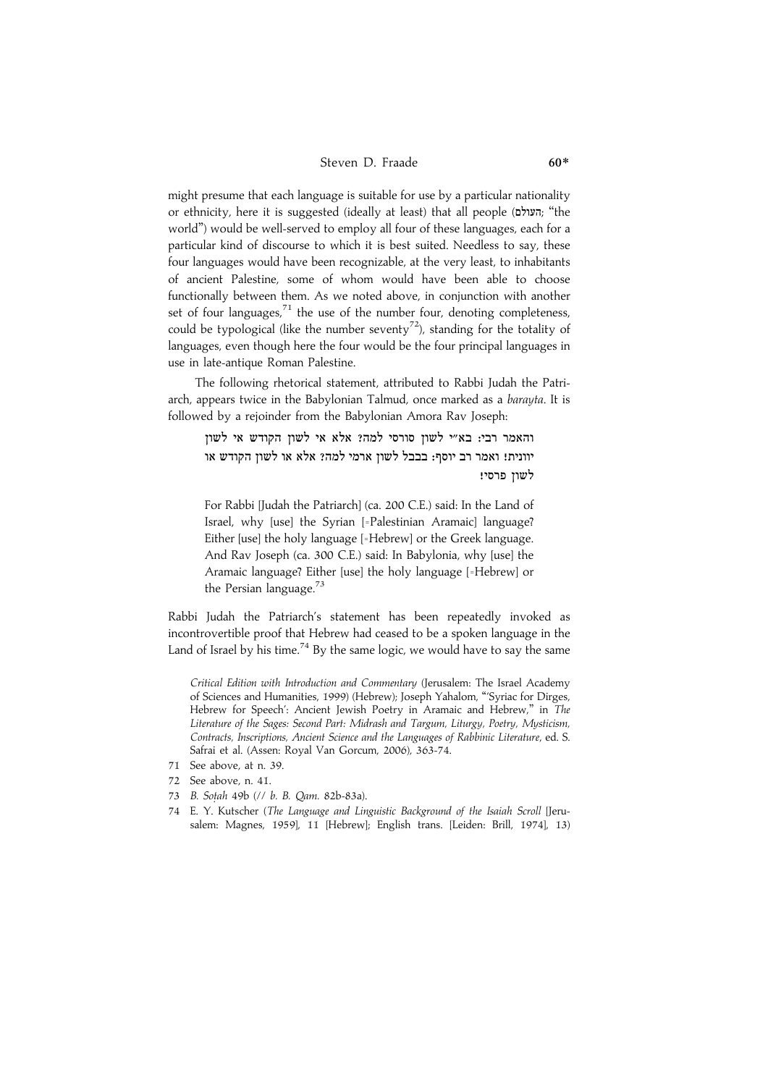#### Steven D. Fraade 60\*

might presume that each language is suitable for use by a particular nationality or ethnicity, here it is suggested (ideally at least) that all people (העולם; "the world'') would be well-served to employ all four of these languages, each for a particular kind of discourse to which it is best suited. Needless to say, these four languages would have been recognizable, at the very least, to inhabitants of ancient Palestine, some of whom would have been able to choose functionally between them. As we noted above, in conjunction with another set of four languages, $71$  the use of the number four, denoting completeness, could be typological (like the number seventy<sup>72</sup>), standing for the totality of languages, even though here the four would be the four principal languages in use in late-antique Roman Palestine.

The following rhetorical statement, attributed to Rabbi Judah the Patriarch, appears twice in the Babylonian Talmud, once marked as a barayta. It is followed by a rejoinder from the Babylonian Amora Rav Joseph:

והאמר רבי: בא"י לשון סורסי למה? אלא אי לשון הקודש אי לשון יוונית! ואמר רב יוסף: בבבל לשון ארמי למה? אלא או לשון הקודש או לשון פרסי!

For Rabbi [Judah the Patriarch] (ca. 200 C.E.) said: In the Land of Israel, why [use] the Syrian [=Palestinian Aramaic] language? Either [use] the holy language [=Hebrew] or the Greek language. And Rav Joseph (ca. 300 C.E.) said: In Babylonia, why [use] the Aramaic language? Either [use] the holy language [=Hebrew] or the Persian language. $73$ 

Rabbi Judah the Patriarch's statement has been repeatedly invoked as incontrovertible proof that Hebrew had ceased to be a spoken language in the Land of Israel by his time.<sup>74</sup> By the same logic, we would have to say the same

Critical Edition with Introduction and Commentary (Jerusalem: The Israel Academy of Sciences and Humanities, 1999) (Hebrew); Joseph Yahalom, '''Syriac for Dirges, Hebrew for Speech': Ancient Jewish Poetry in Aramaic and Hebrew," in The Literature of the Sages: Second Part: Midrash and Targum, Liturgy, Poetry, Mysticism, Contracts, Inscriptions, Ancient Science and the Languages of Rabbinic Literature, ed. S. Safrai et al. (Assen: Royal Van Gorcum, 2006), 363-74.

- 71 See above, at n. 39.
- 72 See above, n. 41.
- 73 B. Sotah 49b (// b. B. Qam. 82b-83a).
- 74 E. Y. Kutscher (The Language and Linguistic Background of the Isaiah Scroll [Jerusalem: Magnes, 1959], 11 [Hebrew]; English trans. [Leiden: Brill, 1974], 13)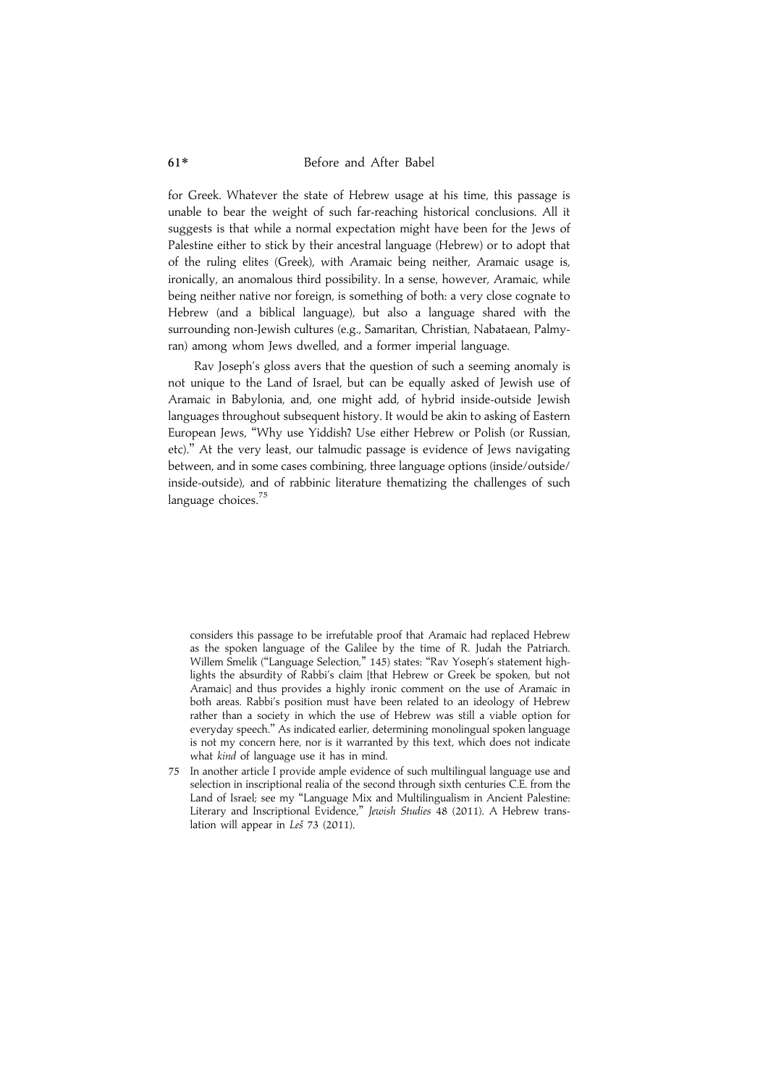for Greek. Whatever the state of Hebrew usage at his time, this passage is unable to bear the weight of such far-reaching historical conclusions. All it suggests is that while a normal expectation might have been for the Jews of Palestine either to stick by their ancestral language (Hebrew) or to adopt that of the ruling elites (Greek), with Aramaic being neither, Aramaic usage is, ironically, an anomalous third possibility. In a sense, however, Aramaic, while being neither native nor foreign, is something of both: a very close cognate to Hebrew (and a biblical language), but also a language shared with the surrounding non-Jewish cultures (e.g., Samaritan, Christian, Nabataean, Palmyran) among whom Jews dwelled, and a former imperial language.

Rav Joseph's gloss avers that the question of such a seeming anomaly is not unique to the Land of Israel, but can be equally asked of Jewish use of Aramaic in Babylonia, and, one might add, of hybrid inside-outside Jewish languages throughout subsequent history. It would be akin to asking of Eastern European Jews, ''Why use Yiddish? Use either Hebrew or Polish (or Russian, etc).'' At the very least, our talmudic passage is evidence of Jews navigating between, and in some cases combining, three language options (inside/outside/ inside-outside), and of rabbinic literature thematizing the challenges of such language choices.<sup>75</sup>

considers this passage to be irrefutable proof that Aramaic had replaced Hebrew as the spoken language of the Galilee by the time of R. Judah the Patriarch. Willem Smelik ("Language Selection," 145) states: "Rav Yoseph's statement highlights the absurdity of Rabbi's claim [that Hebrew or Greek be spoken, but not Aramaic] and thus provides a highly ironic comment on the use of Aramaic in both areas. Rabbi's position must have been related to an ideology of Hebrew rather than a society in which the use of Hebrew was still a viable option for everyday speech.'' As indicated earlier, determining monolingual spoken language is not my concern here, nor is it warranted by this text, which does not indicate what kind of language use it has in mind.

75 In another article I provide ample evidence of such multilingual language use and selection in inscriptional realia of the second through sixth centuries C.E. from the Land of Israel; see my ''Language Mix and Multilingualism in Ancient Palestine: Literary and Inscriptional Evidence," Jewish Studies 48 (2011). A Hebrew translation will appear in  $Le\check{s}$  73 (2011).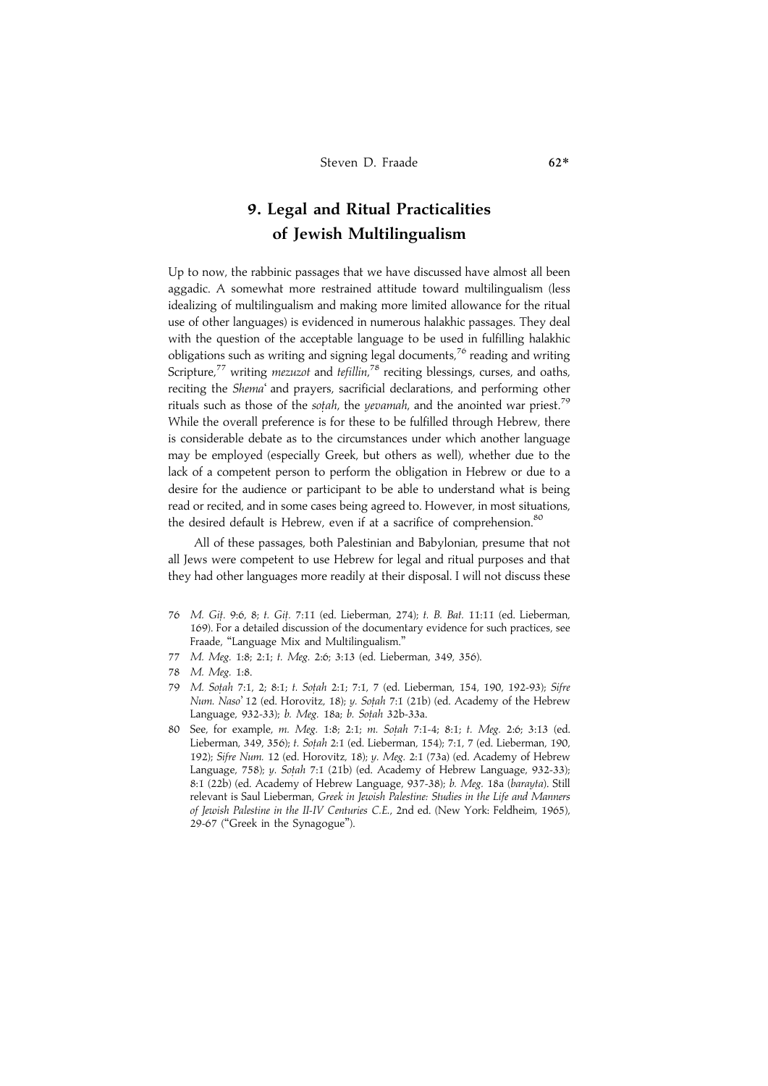## 9. Legal and Ritual Practicalities of Jewish Multilingualism

Up to now, the rabbinic passages that we have discussed have almost all been aggadic. A somewhat more restrained attitude toward multilingualism (less idealizing of multilingualism and making more limited allowance for the ritual use of other languages) is evidenced in numerous halakhic passages. They deal with the question of the acceptable language to be used in fulfilling halakhic obligations such as writing and signing legal documents,<sup>76</sup> reading and writing Scripture,<sup>77</sup> writing *mezuzot* and tefillin,<sup>78</sup> reciting blessings, curses, and oaths, reciting the Shema' and prayers, sacrificial declarations, and performing other rituals such as those of the *sotah*, the *yevamah*, and the anointed war priest.<sup>79</sup> While the overall preference is for these to be fulfilled through Hebrew, there is considerable debate as to the circumstances under which another language may be employed (especially Greek, but others as well), whether due to the lack of a competent person to perform the obligation in Hebrew or due to a desire for the audience or participant to be able to understand what is being read or recited, and in some cases being agreed to. However, in most situations, the desired default is Hebrew, even if at a sacrifice of comprehension.<sup>80</sup>

All of these passages, both Palestinian and Babylonian, presume that not all Jews were competent to use Hebrew for legal and ritual purposes and that they had other languages more readily at their disposal. I will not discuss these

- 76 M. Git. 9:6, 8; t. Git. 7:11 (ed. Lieberman, 274); t. B. Bat. 11:11 (ed. Lieberman, 169). For a detailed discussion of the documentary evidence for such practices, see Fraade, ''Language Mix and Multilingualism.''
- 77 M. Meg. 1:8; 2:1; t. Meg. 2:6; 3:13 (ed. Lieberman, 349, 356).
- 78 M. Meg. 1:8.
- 79 M. Sotah 7:1, 2; 8:1; t. Sotah 2:1; 7:1, 7 (ed. Lieberman, 154, 190, 192-93); Sifre Num. Naso' 12 (ed. Horovitz, 18); y. Sotah 7:1 (21b) (ed. Academy of the Hebrew Language, 932-33); b. Meg. 18a; b. Sotah 32b-33a.
- 80 See, for example, m. Meg. 1:8; 2:1; m. Sotah 7:1-4; 8:1; t. Meg. 2:6; 3:13 (ed. Lieberman, 349, 356); t. Sotah 2:1 (ed. Lieberman, 154); 7:1, 7 (ed. Lieberman, 190, 192); Sifre Num. 12 (ed. Horovitz, 18); y. Meg. 2:1 (73a) (ed. Academy of Hebrew Language, 758); y. Sotah 7:1 (21b) (ed. Academy of Hebrew Language, 932-33); 8:1 (22b) (ed. Academy of Hebrew Language, 937-38); b. Meg. 18a (barayta). Still relevant is Saul Lieberman, Greek in Jewish Palestine: Studies in the Life and Manners of Jewish Palestine in the II-IV Centuries C.E., 2nd ed. (New York: Feldheim, 1965), 29-67 (''Greek in the Synagogue'').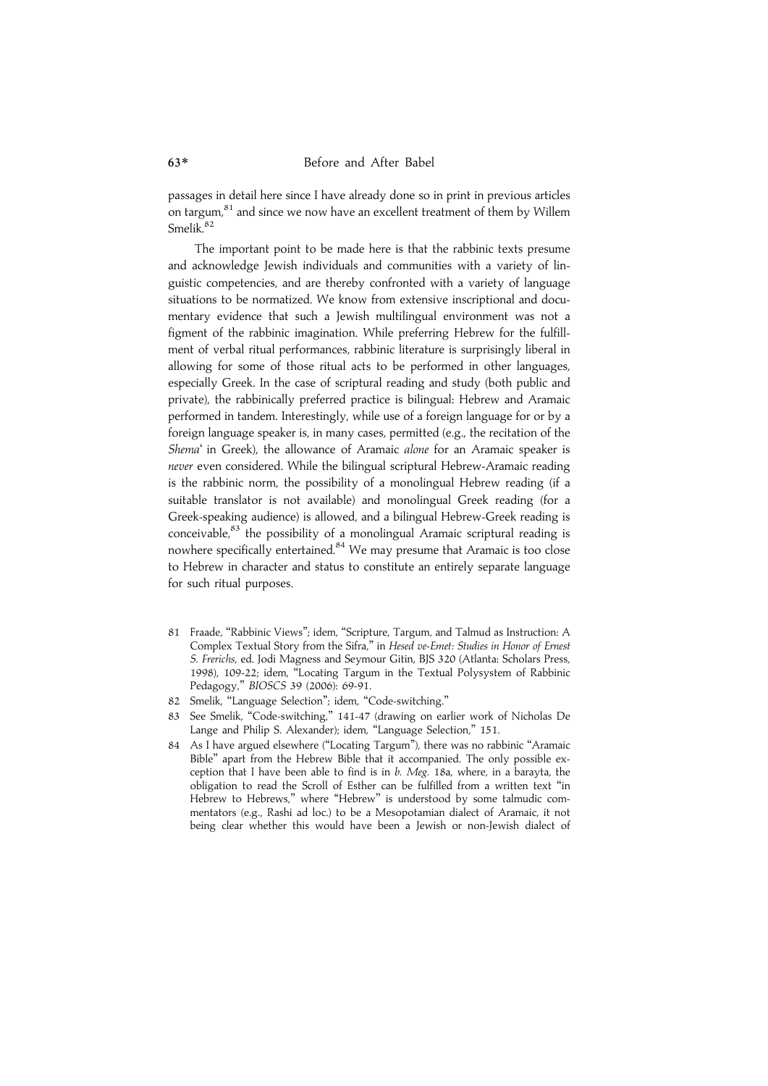passages in detail here since I have already done so in print in previous articles on targum,<sup>81</sup> and since we now have an excellent treatment of them by Willem Smelik.<sup>82</sup>

The important point to be made here is that the rabbinic texts presume and acknowledge Jewish individuals and communities with a variety of linguistic competencies, and are thereby confronted with a variety of language situations to be normatized. We know from extensive inscriptional and documentary evidence that such a Jewish multilingual environment was not a figment of the rabbinic imagination. While preferring Hebrew for the fulfillment of verbal ritual performances, rabbinic literature is surprisingly liberal in allowing for some of those ritual acts to be performed in other languages, especially Greek. In the case of scriptural reading and study (both public and private), the rabbinically preferred practice is bilingual: Hebrew and Aramaic performed in tandem. Interestingly, while use of a foreign language for or by a foreign language speaker is, in many cases, permitted (e.g., the recitation of the Shema' in Greek), the allowance of Aramaic alone for an Aramaic speaker is never even considered. While the bilingual scriptural Hebrew-Aramaic reading is the rabbinic norm, the possibility of a monolingual Hebrew reading (if a suitable translator is not available) and monolingual Greek reading (for a Greek-speaking audience) is allowed, and a bilingual Hebrew-Greek reading is conceivable, $83$  the possibility of a monolingual Aramaic scriptural reading is nowhere specifically entertained.<sup>84</sup> We may presume that Aramaic is too close to Hebrew in character and status to constitute an entirely separate language for such ritual purposes.

- 81 Fraade, ''Rabbinic Views''; idem, ''Scripture, Targum, and Talmud as Instruction: A Complex Textual Story from the Sifra,'' in Hesed ve-Emet: Studies in Honor of Ernest S. Frerichs, ed. Jodi Magness and Seymour Gitin, BJS 320 (Atlanta: Scholars Press, 1998), 109-22; idem, ''Locating Targum in the Textual Polysystem of Rabbinic Pedagogy,'' BIOSCS 39 (2006): 69-91.
- 82 Smelik, ''Language Selection''; idem, ''Code-switching.''
- See Smelik, "Code-switching," 141-47 (drawing on earlier work of Nicholas De Lange and Philip S. Alexander); idem, "Language Selection," 151.
- 84 As I have argued elsewhere (''Locating Targum''), there was no rabbinic ''Aramaic Bible'' apart from the Hebrew Bible that it accompanied. The only possible exception that I have been able to find is in  $b$ . Meg. 18a, where, in a barayta, the obligation to read the Scroll of Esther can be fulfilled from a written text ''in Hebrew to Hebrews," where "Hebrew" is understood by some talmudic commentators (e.g., Rashi ad loc.) to be a Mesopotamian dialect of Aramaic, it not being clear whether this would have been a Jewish or non-Jewish dialect of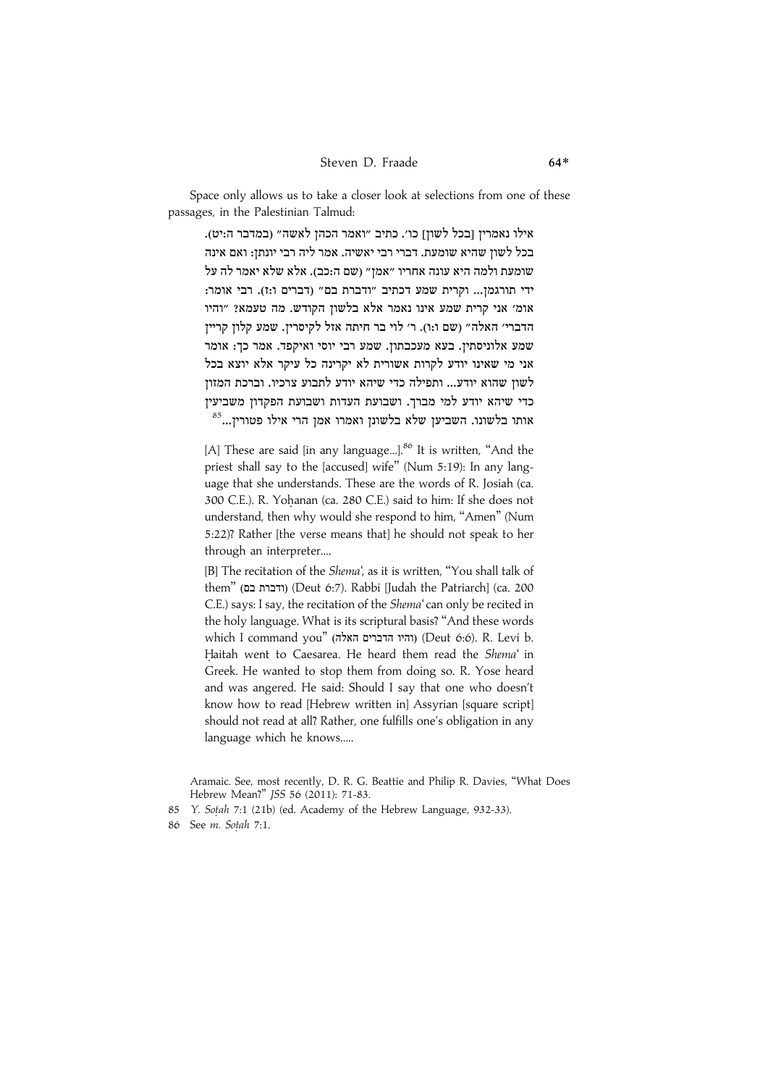Space only allows us to take a closer look at selections from one of these passages, in the Palestinian Talmud:

אילו נאמרין [בכל לשון] כו׳. כתיב ״ואמר הכהן לאשה״ (במדבר ה:יט). בכל לשוז שהיא שומעת. דברי רבי יאשיה. אמר ליה רבי יונתז: ואם אינה שומעת ולמה היא עונה אחריו ״אמז״ (שם ה:כב). אלא שלא יאמר לה על ידי תורגמז... וקרית שמע דכתיב "ודברת בם" (דברים ו:ז). רבי אומר: אומ׳ אני קרית שמע אינו נאמר אלא בלשון הקודש. מה טעמא? "והיו הדברי׳ האלה״ (שם ו:ו). ר׳ לוי בר חיתה אזל לקיסריז. שמע קלוז קרייז שמע אלוניסתין. בעא מעכבתון. שמע רבי יוסי ואיקפד. אמר כך: אומר אני מי שאינו יודע לקרות אשורית לא יקרינה כל עיקר אלא יוצא בכל לשון שהוא יודע... ותפילה כדי שיהא יודע לתבוע צרכיו. וברכת המזון כדי שיהא יודע למי מברך. ושבועת העדות ושבועת הפקדון משביעין  $^{85}$ שטונו. השביען שלא בלשונו, שלא בלשונו. השביען שלא בלשונו.

[A] These are said [in any language...].<sup>86</sup> It is written, "And the priest shall say to the [accused] wife'' (Num 5:19): In any language that she understands. These are the words of R. Josiah (ca. 300 C.E.). R. Yohanan (ca. 280 C.E.) said to him: If she does not understand, then why would she respond to him, ''Amen'' (Num 5:22)? Rather [the verse means that] he should not speak to her through an interpreter....

[B] The recitation of the Shema', as it is written, "You shall talk of them" (ודברת בם) (Deut 6:7). Rabbi [Judah the Patriarch] (ca. 200 C.E.) says: I say, the recitation of the Shema'can only be recited in the holy language. What is its scriptural basis? ''And these words which I command you" (והיו הדברים האלה) (Deut 6:6). R. Levi b. Haitah went to Caesarea. He heard them read the Shema' in Greek. He wanted to stop them from doing so. R. Yose heard and was angered. He said: Should I say that one who doesn't know how to read [Hebrew written in] Assyrian [square script] should not read at all? Rather, one fulfills one's obligation in any language which he knows.....

Aramaic. See, most recently, D. R. G. Beattie and Philip R. Davies, ''What Does Hebrew Mean?'' JSS 56 (2011): 71-83.

85 Y. Sotah 7:1 (21b) (ed. Academy of the Hebrew Language, 932-33).

86 See m. Sotah 7:1.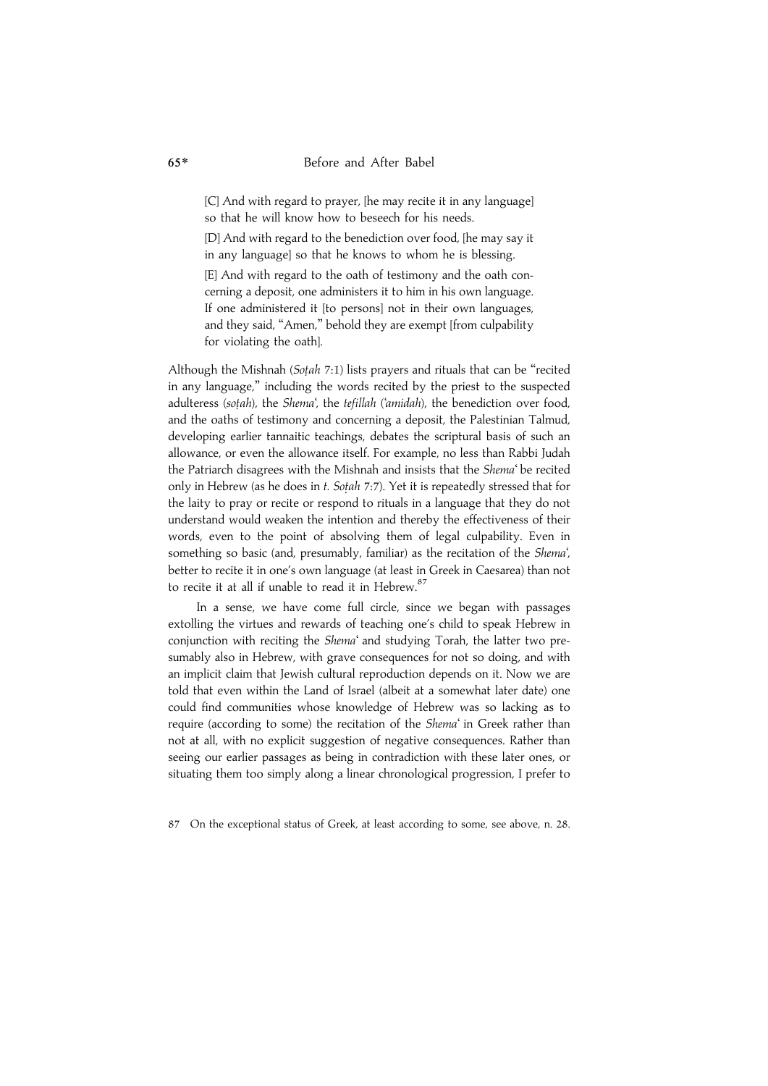[C] And with regard to prayer, [he may recite it in any language] so that he will know how to beseech for his needs.

[D] And with regard to the benediction over food, [he may say it in any language] so that he knows to whom he is blessing.

[E] And with regard to the oath of testimony and the oath concerning a deposit, one administers it to him in his own language. If one administered it [to persons] not in their own languages, and they said, "Amen," behold they are exempt [from culpability for violating the oath].

Although the Mishnah (Sotah 7:1) lists prayers and rituals that can be "recited in any language,'' including the words recited by the priest to the suspected adulteress (sotah), the Shema', the tefillah ('amidah), the benediction over food, and the oaths of testimony and concerning a deposit, the Palestinian Talmud, developing earlier tannaitic teachings, debates the scriptural basis of such an allowance, or even the allowance itself. For example, no less than Rabbi Judah the Patriarch disagrees with the Mishnah and insists that the Shema' be recited only in Hebrew (as he does in t. Sotah 7:7). Yet it is repeatedly stressed that for the laity to pray or recite or respond to rituals in a language that they do not understand would weaken the intention and thereby the effectiveness of their words, even to the point of absolving them of legal culpability. Even in something so basic (and, presumably, familiar) as the recitation of the Shema', better to recite it in one's own language (at least in Greek in Caesarea) than not to recite it at all if unable to read it in Hebrew.<sup>87</sup>

In a sense, we have come full circle, since we began with passages extolling the virtues and rewards of teaching one's child to speak Hebrew in conjunction with reciting the Shema' and studying Torah, the latter two presumably also in Hebrew, with grave consequences for not so doing, and with an implicit claim that Jewish cultural reproduction depends on it. Now we are told that even within the Land of Israel (albeit at a somewhat later date) one could find communities whose knowledge of Hebrew was so lacking as to require (according to some) the recitation of the Shema' in Greek rather than not at all, with no explicit suggestion of negative consequences. Rather than seeing our earlier passages as being in contradiction with these later ones, or situating them too simply along a linear chronological progression, I prefer to

87 On the exceptional status of Greek, at least according to some, see above, n. 28.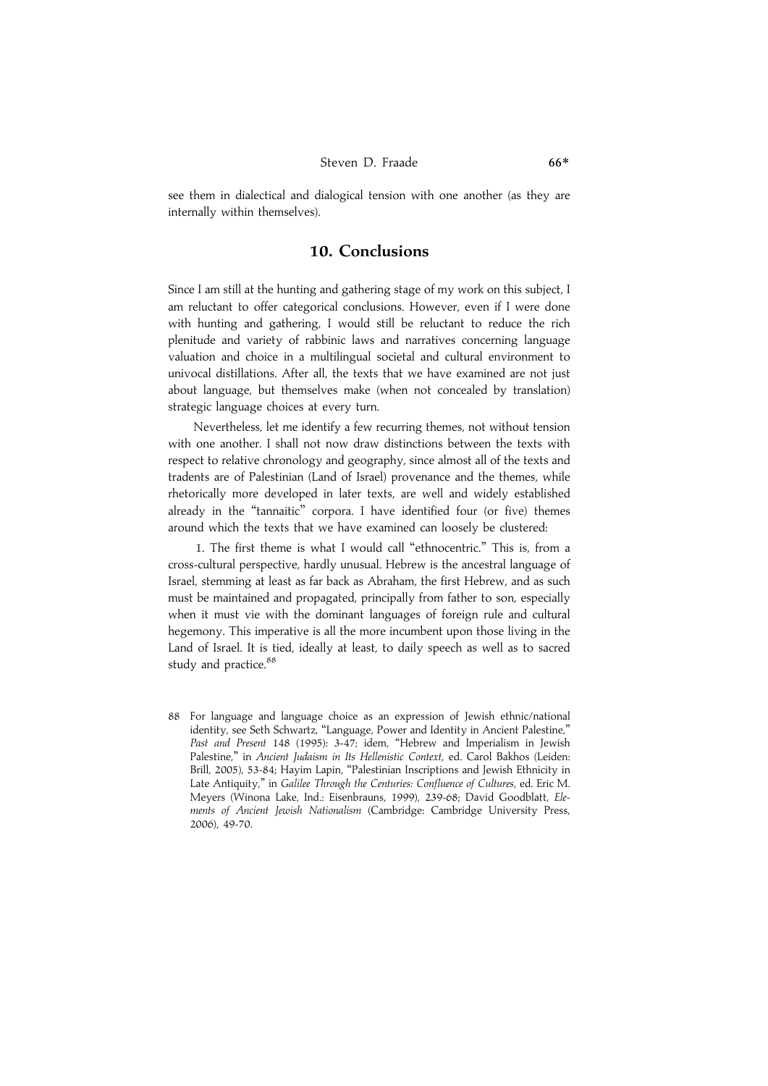see them in dialectical and dialogical tension with one another (as they are internally within themselves).

#### 10. Conclusions

Since I am still at the hunting and gathering stage of my work on this subject, I am reluctant to offer categorical conclusions. However, even if I were done with hunting and gathering, I would still be reluctant to reduce the rich plenitude and variety of rabbinic laws and narratives concerning language valuation and choice in a multilingual societal and cultural environment to univocal distillations. After all, the texts that we have examined are not just about language, but themselves make (when not concealed by translation) strategic language choices at every turn.

Nevertheless, let me identify a few recurring themes, not without tension with one another. I shall not now draw distinctions between the texts with respect to relative chronology and geography, since almost all of the texts and tradents are of Palestinian (Land of Israel) provenance and the themes, while rhetorically more developed in later texts, are well and widely established already in the "tannaitic" corpora. I have identified four (or five) themes around which the texts that we have examined can loosely be clustered:

1. The first theme is what I would call ''ethnocentric.'' This is, from a cross-cultural perspective, hardly unusual. Hebrew is the ancestral language of Israel, stemming at least as far back as Abraham, the first Hebrew, and as such must be maintained and propagated, principally from father to son, especially when it must vie with the dominant languages of foreign rule and cultural hegemony. This imperative is all the more incumbent upon those living in the Land of Israel. It is tied, ideally at least, to daily speech as well as to sacred study and practice.<sup>88</sup>

88 For language and language choice as an expression of Jewish ethnic/national identity, see Seth Schwartz, "Language, Power and Identity in Ancient Palestine,' Past and Present 148 (1995): 3-47; idem, "Hebrew and Imperialism in Jewish Palestine," in Ancient Judaism in Its Hellenistic Context, ed. Carol Bakhos (Leiden: Brill, 2005), 53-84; Hayim Lapin, "Palestinian Inscriptions and Jewish Ethnicity in Late Antiquity," in Galilee Through the Centuries: Confluence of Cultures, ed. Eric M. Meyers (Winona Lake, Ind.: Eisenbrauns, 1999), 239-68; David Goodblatt, Elements of Ancient Jewish Nationalism (Cambridge: Cambridge University Press, 2006), 49-70.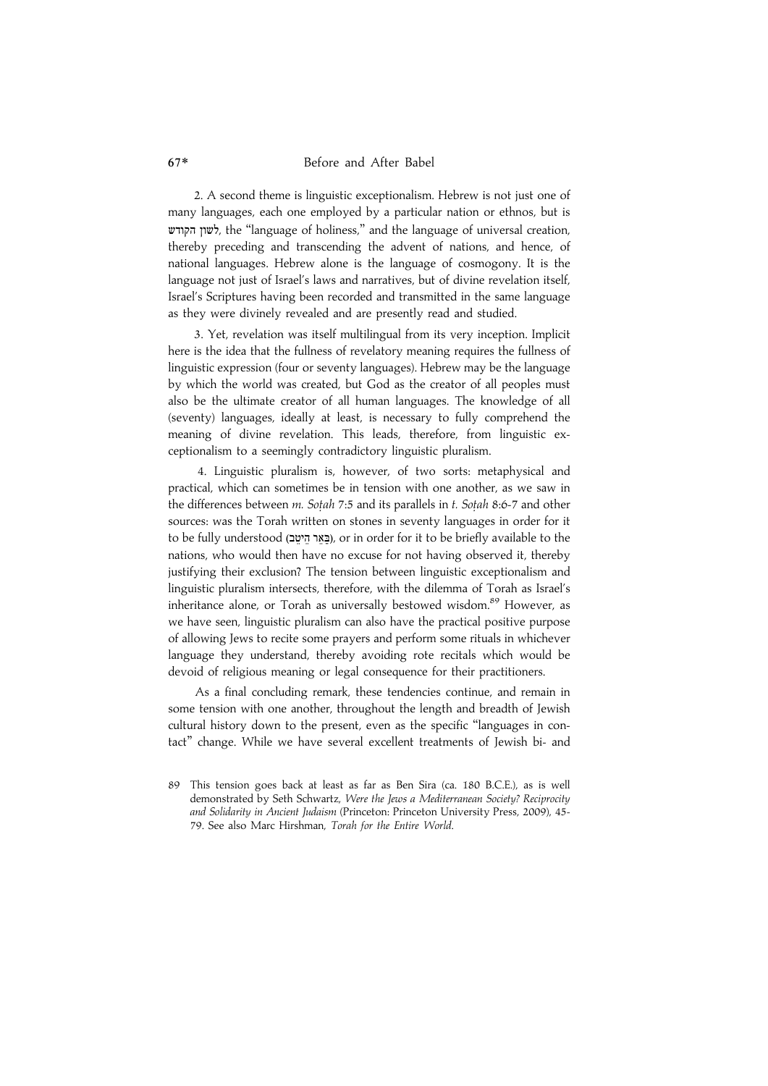2. A second theme is linguistic exceptionalism. Hebrew is not just one of many languages, each one employed by a particular nation or ethnos, but is øª ø , the ''language of holiness,'' and the language of universal creation, thereby preceding and transcending the advent of nations, and hence, of national languages. Hebrew alone is the language of cosmogony. It is the language not just of Israel's laws and narratives, but of divine revelation itself, Israel's Scriptures having been recorded and transmitted in the same language as they were divinely revealed and are presently read and studied.

3. Yet, revelation was itself multilingual from its very inception. Implicit here is the idea that the fullness of revelatory meaning requires the fullness of linguistic expression (four or seventy languages). Hebrew may be the language by which the world was created, but God as the creator of all peoples must also be the ultimate creator of all human languages. The knowledge of all (seventy) languages, ideally at least, is necessary to fully comprehend the meaning of divine revelation. This leads, therefore, from linguistic exceptionalism to a seemingly contradictory linguistic pluralism.

4. Linguistic pluralism is, however, of two sorts: metaphysical and practical, which can sometimes be in tension with one another, as we saw in the differences between m. Sotah 7:5 and its parallels in t. Sotah 8:6-7 and other sources: was the Torah written on stones in seventy languages in order for it to be fully understood (בֵּאֵר הֵיטֵב), or in order for it to be briefly available to the nations, who would then have no excuse for not having observed it, thereby justifying their exclusion? The tension between linguistic exceptionalism and linguistic pluralism intersects, therefore, with the dilemma of Torah as Israel's inheritance alone, or Torah as universally bestowed wisdom.<sup>89</sup> However, as we have seen, linguistic pluralism can also have the practical positive purpose of allowing Jews to recite some prayers and perform some rituals in whichever language they understand, thereby avoiding rote recitals which would be devoid of religious meaning or legal consequence for their practitioners.

As a final concluding remark, these tendencies continue, and remain in some tension with one another, throughout the length and breadth of Jewish cultural history down to the present, even as the specific ''languages in contact'' change. While we have several excellent treatments of Jewish bi- and

<sup>89</sup> This tension goes back at least as far as Ben Sira (ca. 180 B.C.E.), as is well demonstrated by Seth Schwartz, Were the Jews a Mediterranean Society? Reciprocity and Solidarity in Ancient Judaism (Princeton: Princeton University Press, 2009), 45- 79. See also Marc Hirshman, Torah for the Entire World.